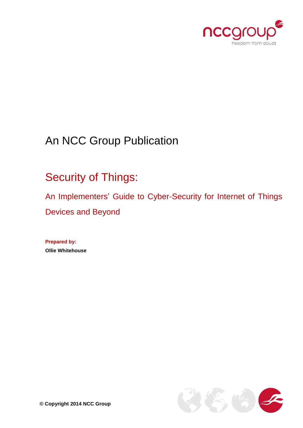

# An NCC Group Publication

# Security of Things:

An Implementers' Guide to Cyber-Security for Internet of Things Devices and Beyond

**Prepared by: Ollie Whitehouse**

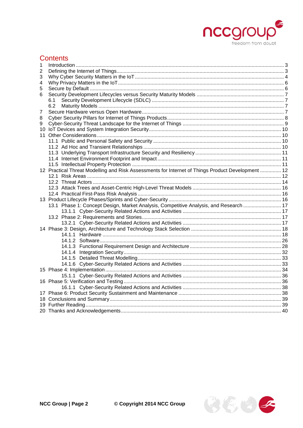

# **Contents**

| 1 |                                                                                                   |  |  |  |  |
|---|---------------------------------------------------------------------------------------------------|--|--|--|--|
| 2 |                                                                                                   |  |  |  |  |
| 3 |                                                                                                   |  |  |  |  |
| 4 |                                                                                                   |  |  |  |  |
| 5 |                                                                                                   |  |  |  |  |
| 6 |                                                                                                   |  |  |  |  |
|   | 6.1                                                                                               |  |  |  |  |
|   | 6.2                                                                                               |  |  |  |  |
| 7 |                                                                                                   |  |  |  |  |
| 8 |                                                                                                   |  |  |  |  |
| 9 |                                                                                                   |  |  |  |  |
|   |                                                                                                   |  |  |  |  |
|   |                                                                                                   |  |  |  |  |
|   |                                                                                                   |  |  |  |  |
|   |                                                                                                   |  |  |  |  |
|   |                                                                                                   |  |  |  |  |
|   |                                                                                                   |  |  |  |  |
|   |                                                                                                   |  |  |  |  |
|   | 12 Practical Threat Modelling and Risk Assessments for Internet of Things Product Development  12 |  |  |  |  |
|   |                                                                                                   |  |  |  |  |
|   |                                                                                                   |  |  |  |  |
|   |                                                                                                   |  |  |  |  |
|   |                                                                                                   |  |  |  |  |
|   |                                                                                                   |  |  |  |  |
|   | 13.1 Phase 1: Concept Design, Market Analysis, Competitive Analysis, and Research  17             |  |  |  |  |
|   |                                                                                                   |  |  |  |  |
|   |                                                                                                   |  |  |  |  |
|   |                                                                                                   |  |  |  |  |
|   |                                                                                                   |  |  |  |  |
|   |                                                                                                   |  |  |  |  |
|   |                                                                                                   |  |  |  |  |
|   |                                                                                                   |  |  |  |  |
|   |                                                                                                   |  |  |  |  |
|   |                                                                                                   |  |  |  |  |
|   |                                                                                                   |  |  |  |  |
|   |                                                                                                   |  |  |  |  |
|   |                                                                                                   |  |  |  |  |
|   |                                                                                                   |  |  |  |  |
|   |                                                                                                   |  |  |  |  |
|   |                                                                                                   |  |  |  |  |
|   |                                                                                                   |  |  |  |  |
|   |                                                                                                   |  |  |  |  |
|   |                                                                                                   |  |  |  |  |

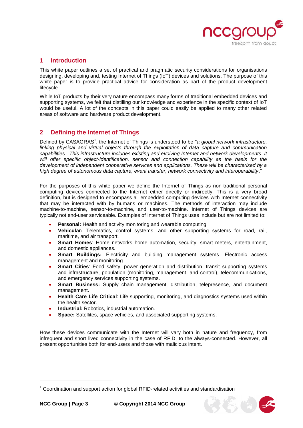

# <span id="page-2-0"></span>**1 Introduction**

This white paper outlines a set of practical and pragmatic security considerations for organisations designing, developing and, testing Internet of Things (IoT) devices and solutions. The purpose of this white paper is to provide practical advice for consideration as part of the product development lifecycle.

While IoT products by their very nature encompass many forms of traditional embedded devices and supporting systems, we felt that distilling our knowledge and experience in the specific context of IoT would be useful. A lot of the concepts in this paper could easily be applied to many other related areas of software and hardware product development.

# <span id="page-2-1"></span>**2 Defining the Internet of Things**

Defined by CASAGRAS<sup>1</sup>, the Internet of Things is understood to be "*a global network infrastructure, linking physical and virtual objects through the exploitation of data capture and communication capabilities. This infrastructure includes existing and evolving Internet and network developments. It will offer specific object-identification, sensor and connection capability as the basis for the development of independent cooperative services and applications. These will be characterised by a high degree of autonomous data capture, event transfer, network connectivity and interoperability*."

For the purposes of this white paper we define the Internet of Things as non-traditional personal computing devices connected to the Internet either directly or indirectly. This is a very broad definition, but is designed to encompass all embedded computing devices with Internet connectivity that may be interacted with by humans or machines. The methods of interaction may include machine-to-machine, sensor-to-machine, and user-to-machine. Internet of Things devices are typically not end-user serviceable. Examples of Internet of Things uses include but are not limited to:

- **Personal:** Health and activity monitoring and wearable computing.
- **Vehicular:** Telematics, control systems, and other supporting systems for road, rail, maritime, and air transport.
- **Smart Homes**: Home networks home automation, security, smart meters, entertainment, and domestic appliances.
- **Smart Buildings:** Electricity and building management systems. Electronic access management and monitoring.
- **Smart Cities**: Food safety, power generation and distribution, transit supporting systems and infrastructure, population (monitoring, management, and control), telecommunications, and emergency services supporting systems.
- **Smart Business:** Supply chain management, distribution, telepresence, and document management.
- **Health Care Life Critical**: Life supporting, monitoring, and diagnostics systems used within the health sector.
- **Industrial:** Robotics, industrial automation.
- **Space:** Satellites, space vehicles, and associated supporting systems.

How these devices communicate with the Internet will vary both in nature and frequency, from infrequent and short lived connectivity in the case of RFID, to the always-connected. However, all present opportunities both for end-users and those with malicious intent.

 $1$  Coordination and support action for global RFID-related activities and standardisation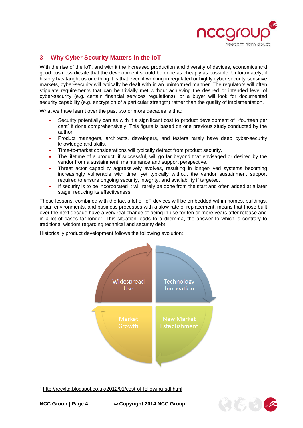

# <span id="page-3-0"></span>**3 Why Cyber Security Matters in the IoT**

With the rise of the IoT, and with it the increased production and diversity of devices, economics and good business dictate that the development should be done as cheaply as possible. Unfortunately, if history has taught us one thing it is that even if working in regulated or highly cyber-security-sensitive markets, cyber-security will typically be dealt with in an uninformed manner. The regulators will often stipulate requirements that can be trivially met without achieving the desired or intended level of cyber-security (e.g. certain financial services regulations), or a buyer will look for documented security capability (e.g. encryption of a particular strength) rather than the quality of implementation.

What we have learnt over the past two or more decades is that:

- Security potentially carries with it a significant cost to product development of ~fourteen per  $cent<sup>2</sup>$  if done comprehensively. This figure is based on one previous study conducted by the author.
- Product managers, architects, developers, and testers rarely have deep cyber-security knowledge and skills.
- Time-to-market considerations will typically detract from product security.
- The lifetime of a product, if successful, will go far beyond that envisaged or desired by the vendor from a sustainment, maintenance and support perspective.
- Threat actor capability aggressively evolves, resulting in longer-lived systems becoming increasingly vulnerable with time, yet typically without the vendor sustainment support required to ensure ongoing security, integrity, and availability if targeted.
- If security is to be incorporated it will rarely be done from the start and often added at a later stage, reducing its effectiveness.

These lessons, combined with the fact a lot of IoT devices will be embedded within homes, buildings, urban environments, and business processes with a slow rate of replacement, means that those built over the next decade have a very real chance of being in use for ten or more years after release and in a lot of cases far longer. This situation leads to a dilemma, the answer to which is contrary to traditional wisdom regarding technical and security debt.

Historically product development follows the following evolution:



<sup>&</sup>lt;sup>2</sup> <http://recxltd.blogspot.co.uk/2012/01/cost-of-following-sdl.html>

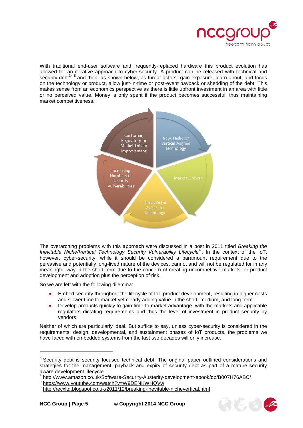

With traditional end-user software and frequently-replaced hardware this product evolution has allowed for an iterative approach to cyber-security. A product can be released with technical and security debt<sup>34 5</sup> and then, as shown below, as threat actors gain exposure, learn about, and focus on the technology or product, allow just-in-time or post-event payback or shedding of the debt. This makes sense from an economics perspective as there is little upfront investment in an area with little or no perceived value. Money is only spent if the product becomes successful, thus maintaining market competitiveness.



The overarching problems with this approach were discussed in a post in 2011 titled *Breaking the Inevitable Niche/Vertical Technology Security Vulnerability Lifecycle<sup>6</sup>* . In the context of the IoT, however, cyber-security, while it should be considered a paramount requirement due to the pervasive and potentially long-lived nature of the devices, cannot and will not be regulated for in any meaningful way in the short term due to the concern of creating uncompetitive markets for product development and adoption plus the perception of risk.

So we are left with the following dilemma:

- Embed security throughout the lifecycle of IoT product development, resulting in higher costs and slower time to market yet clearly adding value in the short, medium, and long term.
- Develop products quickly to gain time-to-market advantage, with the markets and applicable regulators dictating requirements and thus the level of investment in product security by vendors.

Neither of which are particularly ideal. But suffice to say, unless cyber-security is considered in the requirements, design, developmental, and sustainment phases of IoT products, the problems we have faced with embedded systems from the last two decades will only increase.



 $3$  Security debt is security focused technical debt. The original paper outlined considerations and strategies for the management, payback and expiry of security debt as part of a mature security aware development lifecycle.

<sup>4</sup> <http://www.amazon.co.uk/Software-Security-Austerity-development-ebook/dp/B007H76ABC/>

<sup>&</sup>lt;sup>5</sup> <https://www.youtube.com/watch?v=W9DENKWHQVw>

<sup>&</sup>lt;sup>6</sup> <http://recxltd.blogspot.co.uk/2011/12/breaking-inevitable-nichevertical.html>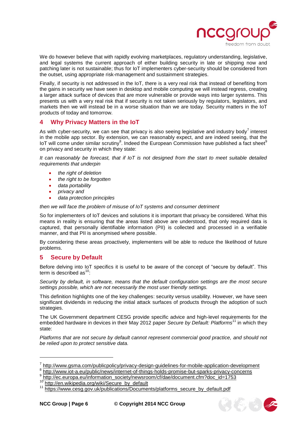

We do however believe that with rapidly evolving marketplaces, regulatory understanding, legislative, and legal systems the current approach of either building security in late or shipping now and patching later is not sustainable; thus for IoT implementers cyber-security should be considered from the outset, using appropriate risk-management and sustainment strategies.

Finally, if security is not addressed in the IoT, there is a very real risk that instead of benefiting from the gains in security we have seen in desktop and mobile computing we will instead regress, creating a larger attack surface of devices that are more vulnerable or provide ways into larger systems. This presents us with a very real risk that if security is not taken seriously by regulators, legislators, and markets then we will instead be in a worse situation than we are today. Security matters in the IoT products of today and tomorrow.

# <span id="page-5-0"></span>**4 Why Privacy Matters in the IoT**

As with cyber-security, we can see that privacy is also seeing legislative and industry body<sup>7</sup> interest in the mobile app sector. By extension, we can reasonably expect, and are indeed seeing, that the IoT will come under similar scrutiny<sup>8</sup>. Indeed the European Commission have published a fact sheet<sup>9</sup> on privacy and security in which they state:

*It can reasonably be forecast, that if IoT is not designed from the start to meet suitable detailed requirements that underpin* 

- *the right of deletion*
- *the right to be forgotten*
- *data portability*
- *privacy and*
- *data protection principles*

*then we will face the problem of misuse of IoT systems and consumer detriment*

So for implementers of IoT devices and solutions it is important that privacy be considered. What this means in reality is ensuring that the areas listed above are understood, that only required data is captured, that personally identifiable information (PII) is collected and processed in a verifiable manner, and that PII is anonymised where possible.

By considering these areas proactively, implementers will be able to reduce the likelihood of future problems.

#### <span id="page-5-1"></span>**5 Secure by Default**

Before delving into IoT specifics it is useful to be aware of the concept of "secure by default". This term is described as  $10$ :

*Security by default, in software, means that the default configuration settings are the most secure settings possible, which are not necessarily the most user friendly settings.* 

This definition highlights one of the key challenges: security versus usability. However, we have seen significant dividends in reducing the initial attack surfaces of products through the adoption of such strategies.

The UK Government department CESG provide specific advice and high-level requirements for the embedded hardware in devices in their May 2012 paper *Secure by Default: Platforms*<sup>11</sup> in which they state:

*Platforms that are not secure by default cannot represent commercial good practice, and should not be relied upon to protect sensitive data.*



<sup>&</sup>lt;sup>7</sup> <http://www.gsma.com/publicpolicy/privacy-design-guidelines-for-mobile-application-development>

<sup>&</sup>lt;sup>8</sup> <http://www.iot-a.eu/public/news/internet-of-things-holds-promise-but-sparks-privacy-concerns><br><sup>9</sup> http://o.e.urrene.ou/infermation\_eogisty/pourceom/of/dec/decument.ofm?dec\_id\_47E2

[http://ec.europa.eu/information\\_society/newsroom/cf/dae/document.cfm?doc\\_id=1753](http://ec.europa.eu/information_society/newsroom/cf/dae/document.cfm?doc_id=1753)

<sup>&</sup>lt;sup>10</sup> [http://en.wikipedia.org/wiki/Secure\\_by\\_default](http://en.wikipedia.org/wiki/Secure_by_default)<br><sup>11</sup> https://www.cesg.gov.uk/publications/Documen

[https://www.cesg.gov.uk/publications/Documents/platforms\\_secure\\_by\\_default.pdf](https://www.cesg.gov.uk/publications/Documents/platforms_secure_by_default.pdf)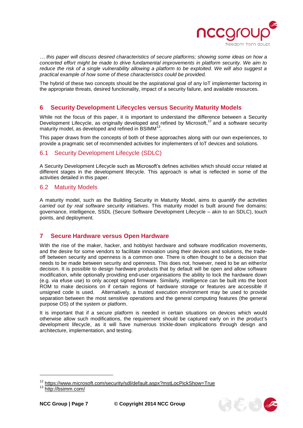

*… this paper will discuss desired characteristics of secure platforms; showing some ideas on how a concerted effort might be made to drive fundamental improvements in platform security. We aim to reduce the risk of a single vulnerability allowing a platform to be exploited. We will also suggest a practical example of how some of these characteristics could be provided.*

The hybrid of these two concepts should be the aspirational goal of any IoT implementer factoring in the appropriate threats, desired functionality, impact of a security failure, and available resources.

#### <span id="page-6-0"></span>**6 Security Development Lifecycles versus Security Maturity Models**

While not the focus of this paper, it is important to understand the difference between a Security Development Lifecycle, as originally developed and refined by Microsoft,<sup>12</sup> and a software security maturity model, as developed and refined in BSIMM<sup>13</sup> .

This paper draws from the concepts of both of these approaches along with our own experiences, to provide a pragmatic set of recommended activities for implementers of IoT devices and solutions.

#### <span id="page-6-1"></span>6.1 Security Development Lifecycle (SDLC)

A Security Development Lifecycle such as Microsoft's defines activities which should occur related at different stages in the development lifecycle. This approach is what is reflected in some of the activities detailed in this paper.

#### <span id="page-6-2"></span>6.2 Maturity Models

A maturity model, such as the Building Security in Maturity Model, aims *to quantify the activities carried out by real software security initiatives*. This maturity model is built around five domains: governance, intelligence, SSDL (Secure Software Development Lifecycle – akin to an SDLC), touch points, and deployment.

#### <span id="page-6-3"></span>**7 Secure Hardware versus Open Hardware**

With the rise of the maker, hacker, and hobbyist hardware and software modification movements, and the desire for some vendors to facilitate innovation using their devices and solutions, the tradeoff between security and openness is a common one. There is often thought to be a decision that needs to be made between security and openness. This does not, however, need to be an either/or decision. It is possible to design hardware products that by default will be open and allow software modification, while optionally providing end-user organisations the ability to lock the hardware down (e.g. via efuse use) to only accept signed firmware. Similarly, intelligence can be built into the boot ROM to make decisions on if certain regions of hardware storage or features are accessible if unsigned code is used. Alternatively, a trusted execution environment may be used to provide separation between the most sensitive operations and the general computing features (the general purpose OS) of the system or platform.

It is important that if a secure platform is needed in certain situations on devices which would otherwise allow such modifications, the requirement should be captured early on in the product's development lifecycle, as it will have numerous trickle-down implications through design and architecture, implementation, and testing.



<sup>&</sup>lt;sup>12</sup> <https://www.microsoft.com/security/sdl/default.aspx?mstLocPickShow=True>

<sup>13</sup> <http://bsimm.com/>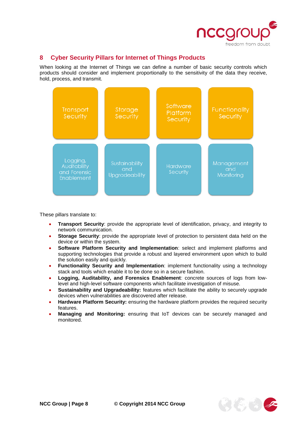

# <span id="page-7-0"></span>**8 Cyber Security Pillars for Internet of Things Products**

When looking at the Internet of Things we can define a number of basic security controls which products should consider and implement proportionally to the sensitivity of the data they receive, hold, process, and transmit.



These pillars translate to:

- **Transport Security**: provide the appropriate level of identification, privacy, and integrity to network communication.
- **Storage Security**: provide the appropriate level of protection to persistent data held on the device or within the system.
- **Software Platform Security and Implementation**: select and implement platforms and supporting technologies that provide a robust and layered environment upon which to build the solution easily and quickly.
- **Functionality Security and Implementation**: implement functionality using a technology stack and tools which enable it to be done so in a secure fashion.
- **Logging, Auditability, and Forensics Enablement**: concrete sources of logs from lowlevel and high-level software components which facilitate investigation of misuse.
- **Sustainability and Upgradeability:** features which facilitate the ability to securely upgrade devices when vulnerabilities are discovered after release.
- **Hardware Platform Security:** ensuring the hardware platform provides the required security features.
- **Managing and Monitoring:** ensuring that IoT devices can be securely managed and monitored.

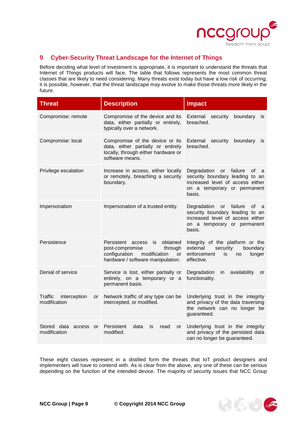

# <span id="page-8-0"></span>**9 Cyber-Security Threat Landscape for the Internet of Things**

Before deciding what level of investment is appropriate, it is important to understand the threats that Internet of Things products will face. The table that follows represents the most common threat classes that are likely to need considering. Many threats exist today but have a low risk of occurring; it is possible, however, that the threat landscape may evolve to make those threats more likely in the future.

| <b>Threat</b>                                        | <b>Description</b>                                                                                                                                      | <b>Impact</b>                                                                                                                                           |  |
|------------------------------------------------------|---------------------------------------------------------------------------------------------------------------------------------------------------------|---------------------------------------------------------------------------------------------------------------------------------------------------------|--|
| Compromise: remote                                   | Compromise of the device and its<br>data, either partially or entirely,<br>typically over a network.                                                    | External<br>security<br>boundary<br>İS<br>breached.                                                                                                     |  |
| Compromise: local                                    | Compromise of the device or its<br>data, either partially or entirely<br>locally, through either hardware or<br>software means.                         | External security<br>boundary<br><b>is</b><br>breached.                                                                                                 |  |
| Privilege escalation                                 | Increase in access, either locally<br>or remotely, breaching a security<br>boundary.                                                                    | Degradation<br>failure<br>or<br>οf<br>a<br>security boundary leading to an<br>increased level of access either<br>on a temporary or permanent<br>basis. |  |
| Impersonation                                        | Impersonation of a trusted entity.                                                                                                                      | Degradation or<br>failure<br>οf<br>a<br>security boundary leading to an<br>increased level of access either<br>on a temporary or permanent<br>basis.    |  |
| Persistence                                          | Persistent<br>obtained<br>access<br>is<br>through<br>post-compromise<br>configuration<br>modification<br><b>or</b><br>hardware / software manipulation. | Integrity of the platform or the<br>external<br>security<br>boundary<br>enforcement<br>is.<br>longer<br>no<br>effective.                                |  |
| Denial of service                                    | Service is lost, either partially or<br>entirely, on a temporary or a<br>permanent basis.                                                               | Degradation<br>availability<br>in.<br>or<br>functionality.                                                                                              |  |
| Traffic<br>interception<br><b>or</b><br>modification | Network traffic of any type can be<br>intercepted, or modified.                                                                                         | Underlying trust in the integrity<br>and privacy of the data traversing<br>the network can no longer be<br>guaranteed.                                  |  |
| Stored data access or<br>modification                | Persistent<br>data<br>is<br>read<br>or<br>modified.                                                                                                     | Underlying trust in the integrity<br>and privacy of the persisted data<br>can no longer be guaranteed.                                                  |  |

These eight classes represent in a distilled form the threats that IoT product designers and implementers will have to contend with. As is clear from the above, any one of these can be serious depending on the function of the intended device. The majority of security issues that NCC Group

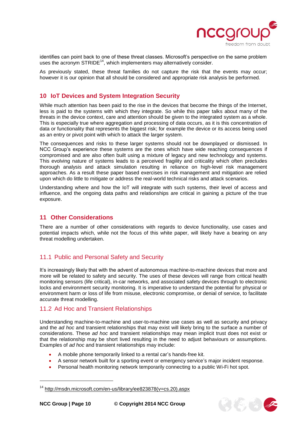

identifies can point back to one of these threat classes. Microsoft's perspective on the same problem uses the acronym STRIDE<sup>14</sup>, which implementers may alternatively consider.

As previously stated, these threat families do not capture the risk that the events may occur; however it is our opinion that all should be considered and appropriate risk analysis be performed.

### <span id="page-9-0"></span>**10 IoT Devices and System Integration Security**

While much attention has been paid to the rise in the devices that become the things of the Internet, less is paid to the systems with which they integrate. So while this paper talks about many of the threats in the device context, care and attention should be given to the integrated system as a whole. This is especially true where aggregation and processing of data occurs, as it is this concentration of data or functionality that represents the biggest risk; for example the device or its access being used as an entry or pivot point with which to attack the larger system.

The consequences and risks to these larger systems should not be downplayed or dismissed. In NCC Group's experience these systems are the ones which have wide reaching consequences if compromised and are also often built using a mixture of legacy and new technology and systems. This evolving nature of systems leads to a perceived fragility and criticality which often precludes thorough analysis and attack simulation resulting in reliance on high-level risk management approaches. As a result these paper based exercises in risk management and mitigation are relied upon which do little to mitigate or address the real-world technical risks and attack scenarios.

Understanding where and how the IoT will integrate with such systems, their level of access and influence, and the ongoing data paths and relationships are critical in gaining a picture of the true exposure.

### <span id="page-9-1"></span>**11 Other Considerations**

There are a number of other considerations with regards to device functionality, use cases and potential impacts which, while not the focus of this white paper, will likely have a bearing on any threat modelling undertaken.

# <span id="page-9-2"></span>11.1 Public and Personal Safety and Security

It's increasingly likely that with the advent of autonomous machine-to-machine devices that more and more will be related to safety and security. The uses of these devices will range from critical health monitoring sensors (life critical), in-car networks, and associated safety devices through to electronic locks and environment security monitoring. It is imperative to understand the potential for physical or environment harm or loss of life from misuse, electronic compromise, or denial of service, to facilitate accurate threat modelling.

#### <span id="page-9-3"></span>11.2 Ad Hoc and Transient Relationships

Understanding machine-to-machine and user-to-machine use cases as well as security and privacy and the *ad hoc* and transient relationships that may exist will likely bring to the surface a number of considerations. These *ad hoc* and transient relationships may mean implicit trust does not exist or that the relationship may be short lived resulting in the need to adjust behaviours or assumptions. Examples of *ad hoc* and transient relationships may include:

- A mobile phone temporarily linked to a rental car's hands-free kit.
- A sensor network built for a sporting event or emergency service's major incident response.
- Personal health monitoring network temporarily connecting to a public Wi-Fi hot spot.



<sup>&</sup>lt;sup>14</sup> [http://msdn.microsoft.com/en-us/library/ee823878\(v=cs.20\).aspx](http://msdn.microsoft.com/en-us/library/ee823878(v=cs.20).aspx)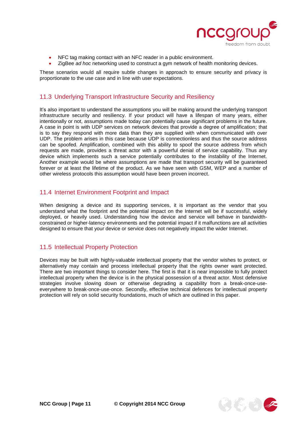

- NFC tag making contact with an NFC reader in a public environment.
- ZigBee *ad hoc* networking used to construct a gym network of health monitoring devices.

These scenarios would all require subtle changes in approach to ensure security and privacy is proportionate to the use case and in line with user expectations.

### <span id="page-10-0"></span>11.3 Underlying Transport Infrastructure Security and Resiliency

It's also important to understand the assumptions you will be making around the underlying transport infrastructure security and resiliency. If your product will have a lifespan of many years, either intentionally or not, assumptions made today can potentially cause significant problems in the future. A case in point is with UDP services on network devices that provide a degree of amplification; that is to say they respond with more data than they are supplied with when communicated with over UDP. The problem arises in this case because UDP is connectionless and thus the source address can be spoofed. Amplification, combined with this ability to spoof the source address from which requests are made, provides a threat actor with a powerful denial of service capability. Thus any device which implements such a service potentially contributes to the instability of the Internet. Another example would be where assumptions are made that transport security will be guaranteed forever or at least the lifetime of the product. As we have seen with GSM, WEP and a number of other wireless protocols this assumption would have been proven incorrect.

# <span id="page-10-1"></span>11.4 Internet Environment Footprint and Impact

When designing a device and its supporting services, it is important as the vendor that you understand what the footprint and the potential impact on the Internet will be if successful, widely deployed, or heavily used. Understanding how the device and service will behave in bandwidthconstrained or higher-latency environments and the potential impact if it malfunctions are all activities designed to ensure that your device or service does not negatively impact the wider Internet.

#### <span id="page-10-2"></span>11.5 Intellectual Property Protection

Devices may be built with highly-valuable intellectual property that the vendor wishes to protect, or alternatively may contain and process intellectual property that the rights owner want protected. There are two important things to consider here. The first is that it is near impossible to fully protect intellectual property when the device is in the physical possession of a threat actor. Most defensive strategies involve slowing down or otherwise degrading a capability from a break-once-useeverywhere to break-once-use-once. Secondly, effective technical defences for intellectual property protection will rely on solid security foundations, much of which are outlined in this paper.

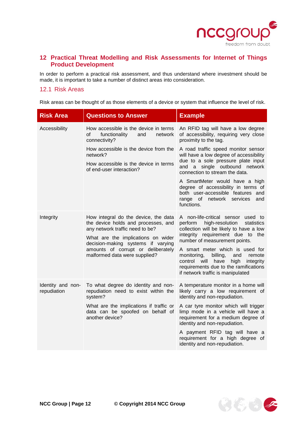

# <span id="page-11-0"></span>**12 Practical Threat Modelling and Risk Assessments for Internet of Things Product Development**

In order to perform a practical risk assessment, and thus understand where investment should be made, it is important to take a number of distinct areas into consideration.

#### <span id="page-11-1"></span>12.1 Risk Areas

Risk areas can be thought of as those elements of a device or system that influence the level of risk.

| <b>Risk Area</b>                 | <b>Questions to Answer</b>                                                                                                                                                                                                       | <b>Example</b>                                                                                                                                                                                                                    |
|----------------------------------|----------------------------------------------------------------------------------------------------------------------------------------------------------------------------------------------------------------------------------|-----------------------------------------------------------------------------------------------------------------------------------------------------------------------------------------------------------------------------------|
| Accessibility                    | How accessible is the device in terms<br>οf<br>functionality<br>network<br>and<br>connectivity?                                                                                                                                  | An RFID tag will have a low degree<br>of accessibility, requiring very close<br>proximity to the tag.                                                                                                                             |
|                                  | How accessible is the device from the<br>network?<br>How accessible is the device in terms                                                                                                                                       | A road traffic speed monitor sensor<br>will have a low degree of accessibility<br>due to a sole pressure plate input                                                                                                              |
|                                  | of end-user interaction?                                                                                                                                                                                                         | and a single outbound network<br>connection to stream the data.                                                                                                                                                                   |
|                                  |                                                                                                                                                                                                                                  | A SmartMeter would have a high<br>degree of accessibility in terms of<br>both user-accessible features and<br>range of network services<br>and<br>functions.                                                                      |
| Integrity                        | How integral do the device, the data<br>the device holds and processes, and<br>any network traffic need to be?<br>What are the implications on wider<br>decision-making systems if varying<br>amounts of corrupt or deliberately | A non-life-critical sensor used to<br>perform<br>high-resolution<br>statistics<br>collection will be likely to have a low<br>integrity requirement due to the<br>number of measurement points.<br>A smart meter which is used for |
|                                  | malformed data were supplied?                                                                                                                                                                                                    | monitoring,<br>billing,<br>and<br>remote<br>control will have<br>high<br>integrity<br>requirements due to the ramifications<br>if network traffic is manipulated                                                                  |
| Identity and non-<br>repudiation | To what degree do identity and non-<br>repudiation need to exist within the<br>system?                                                                                                                                           | A temperature monitor in a home will<br>likely carry a low requirement of<br>identity and non-repudiation.                                                                                                                        |
|                                  | What are the implications if traffic or<br>data can be spoofed on behalf of<br>another device?                                                                                                                                   | A car tyre monitor which will trigger<br>limp mode in a vehicle will have a<br>requirement for a medium degree of<br>identity and non-repudiation.                                                                                |
|                                  |                                                                                                                                                                                                                                  | A payment RFID tag will have a<br>requirement for a high degree of<br>identity and non-repudiation.                                                                                                                               |

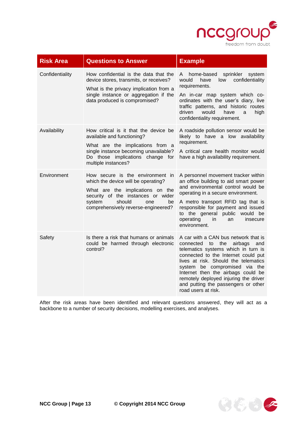

| <b>Risk Area</b> | <b>Questions to Answer</b>                                                                                                                                                                                                | <b>Example</b>                                                                                                                                                                                                                                                                                                                                                              |
|------------------|---------------------------------------------------------------------------------------------------------------------------------------------------------------------------------------------------------------------------|-----------------------------------------------------------------------------------------------------------------------------------------------------------------------------------------------------------------------------------------------------------------------------------------------------------------------------------------------------------------------------|
| Confidentiality  | How confidential is the data that the<br>device stores, transmits, or receives?<br>What is the privacy implication from a<br>single instance or aggregation if the<br>data produced is compromised?                       | home-based<br>sprinkler<br>system<br>A<br>confidentiality<br>would<br>have<br>low<br>requirements.<br>An in-car map system which co-<br>ordinates with the user's diary, live<br>traffic patterns, and historic routes<br>driven<br>would<br>have<br>high<br>a<br>confidentiality requirement.                                                                              |
| Availability     | How critical is it that the device be<br>available and functioning?<br>What are the implications from a<br>single instance becoming unavailable?<br>Do those implications change for<br>multiple instances?               | A roadside pollution sensor would be<br>likely to have a low availability<br>requirement.<br>A critical care health monitor would<br>have a high availability requirement.                                                                                                                                                                                                  |
| Environment      | How secure is the environment in<br>which the device will be operating?<br>What are the implications on the<br>security of the instances or wider<br>should<br>system<br>one<br>be<br>comprehensively reverse-engineered? | A personnel movement tracker within<br>an office building to aid smart power<br>and environmental control would be<br>operating in a secure environment.<br>A metro transport RFID tag that is<br>responsible for payment and issued<br>to the general public<br>would be<br>operating<br>in.<br>insecure<br>an<br>environment.                                             |
| Safety           | Is there a risk that humans or animals<br>could be harmed through electronic<br>control?                                                                                                                                  | A car with a CAN bus network that is<br>connected to the<br>airbags and<br>telematics systems which in turn is<br>connected to the Internet could put<br>lives at risk. Should the telematics<br>system be compromised via the<br>Internet then the airbags could be<br>remotely deployed injuring the driver<br>and putting the passengers or other<br>road users at risk. |

After the risk areas have been identified and relevant questions answered, they will act as a backbone to a number of security decisions, modelling exercises, and analyses.

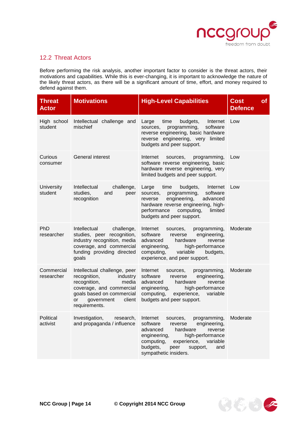

# <span id="page-13-0"></span>12.2 Threat Actors

Before performing the risk analysis, another important factor to consider is the threat actors, their motivations and capabilities. While this is ever-changing, it is important to acknowledge the nature of the likely threat actors, as there will be a significant amount of time, effort, and money required to defend against them.

| <b>Threat</b><br><b>Actor</b> | <b>Motivations</b>                                                                                                                                                                        | <b>High-Level Capabilities</b>                                                                                                                                                                                                                              | <b>Cost</b><br><b>of</b><br><b>Defence</b> |
|-------------------------------|-------------------------------------------------------------------------------------------------------------------------------------------------------------------------------------------|-------------------------------------------------------------------------------------------------------------------------------------------------------------------------------------------------------------------------------------------------------------|--------------------------------------------|
| High school<br>student        | Intellectual challenge and<br>mischief                                                                                                                                                    | budgets,<br>Internet<br>Large<br>time<br>programming,<br>software<br>sources,<br>reverse engineering, basic hardware<br>reverse engineering, very limited<br>budgets and peer support.                                                                      | Low                                        |
| Curious<br>consumer           | General interest                                                                                                                                                                          | Internet<br>programming,<br>sources,<br>software reverse engineering, basic<br>hardware reverse engineering, very<br>limited budgets and peer support.                                                                                                      | Low                                        |
| University<br>student         | Intellectual<br>challenge,<br>studies,<br>and<br>peer<br>recognition                                                                                                                      | Large<br>time<br>budgets,<br>Internet<br>software<br>sources,<br>programming,<br>engineering,<br>advanced<br>reverse<br>hardware reverse engineering, high-<br>performance<br>computing,<br>limited<br>budgets and peer support.                            | Low                                        |
| PhD<br>researcher             | Intellectual<br>challenge,<br>studies, peer recognition,<br>industry recognition, media<br>coverage, and commercial<br>funding providing directed<br>goals                                | Internet<br>programming,<br>sources,<br>software<br>engineering,<br>reverse<br>advanced<br>hardware<br>reverse<br>engineering,<br>high-performance<br>variable<br>computing,<br>budgets,<br>experience, and peer support.                                   | Moderate                                   |
| Commercial<br>researcher      | Intellectual challenge, peer<br>industry<br>recognition,<br>recognition,<br>media<br>coverage, and commercial<br>goals based on commercial<br>client<br>government<br>or<br>requirements. | Internet<br>programming,<br>sources,<br>software<br>engineering,<br>reverse<br>advanced<br>hardware<br>reverse<br>engineering,<br>high-performance<br>computing,<br>experience,<br>variable<br>budgets and peer support.                                    | Moderate                                   |
| Political<br>activist         | Investigation,<br>research,<br>and propaganda / influence                                                                                                                                 | Internet<br>programming,<br>sources,<br>software<br>engineering,<br>reverse<br>advanced<br>hardware<br>reverse<br>engineering,<br>high-performance<br>computing,<br>experience,<br>variable<br>budgets,<br>peer<br>support,<br>and<br>sympathetic insiders. | Moderate                                   |

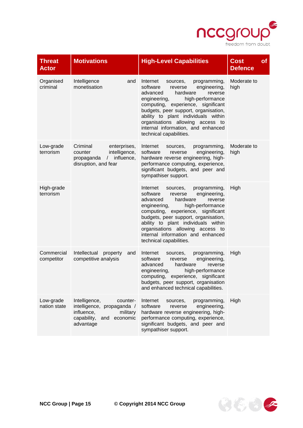

| <b>Threat</b><br><b>Actor</b> | <b>Motivations</b>                                                                                                               | <b>High-Level Capabilities</b>                                                                                                                                                                                                                                                                                                                                               | <b>Cost</b><br><b>of</b><br><b>Defence</b> |
|-------------------------------|----------------------------------------------------------------------------------------------------------------------------------|------------------------------------------------------------------------------------------------------------------------------------------------------------------------------------------------------------------------------------------------------------------------------------------------------------------------------------------------------------------------------|--------------------------------------------|
| Organised<br>criminal         | Intelligence<br>and<br>monetisation                                                                                              | Internet<br>programming,<br>sources,<br>software<br>engineering,<br>reverse<br>advanced<br>hardware<br>reverse<br>high-performance<br>engineering,<br>computing, experience, significant<br>budgets, peer support, organisation,<br>ability to plant individuals within<br>organisations allowing access to<br>internal information, and enhanced<br>technical capabilities. | Moderate to<br>high                        |
| Low-grade<br>terrorism        | Criminal<br>enterprises,<br>intelligence,<br>counter<br>influence,<br>propaganda<br>$\sqrt{2}$<br>disruption, and fear           | Internet<br>programming,<br>sources,<br>software<br>engineering,<br>reverse<br>hardware reverse engineering, high-<br>performance computing, experience,<br>significant budgets, and peer and<br>sympathiser support.                                                                                                                                                        | Moderate to<br>high                        |
| High-grade<br>terrorism       |                                                                                                                                  | Internet<br>programming,<br>sources,<br>software<br>engineering,<br>reverse<br>advanced<br>hardware<br>reverse<br>high-performance<br>engineering,<br>computing, experience, significant<br>budgets, peer support, organisation,<br>ability to plant individuals within<br>organisations allowing access to<br>internal information and enhanced<br>technical capabilities.  | High                                       |
| Commercial<br>competitor      | Intellectual<br>property<br>and<br>competitive analysis                                                                          | Internet<br>programming,<br>sources,<br>software<br>engineering,<br>reverse<br>advanced<br>hardware<br>reverse<br>engineering,<br>high-performance<br>experience, significant<br>computing,<br>budgets, peer support, organisation<br>and enhanced technical capabilities.                                                                                                   | High                                       |
| Low-grade<br>nation state     | Intelligence,<br>counter-<br>intelligence, propaganda /<br>influence,<br>military<br>capability,<br>economic<br>and<br>advantage | Internet<br>programming,<br>sources,<br>software<br>engineering,<br>reverse<br>hardware reverse engineering, high-<br>performance computing, experience,<br>significant budgets, and peer and<br>sympathiser support.                                                                                                                                                        | High                                       |

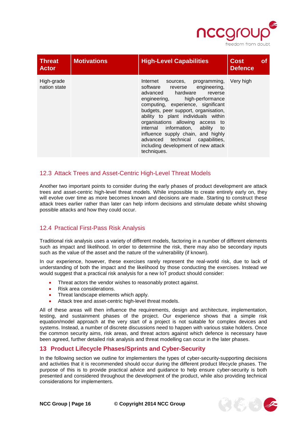

| <b>Threat</b><br><b>Actor</b> | <b>Motivations</b> | <b>High-Level Capabilities</b>                                                                                                                                                                                                                                                                                                                                                                                                                                            | <b>Cost</b><br><b>Defence</b> |  |
|-------------------------------|--------------------|---------------------------------------------------------------------------------------------------------------------------------------------------------------------------------------------------------------------------------------------------------------------------------------------------------------------------------------------------------------------------------------------------------------------------------------------------------------------------|-------------------------------|--|
| High-grade<br>nation state    |                    | Internet<br>programming,<br>sources,<br>software reverse engineering,<br>advanced hardware<br>reverse<br>high-performance<br>engineering,<br>computing, experience, significant<br>budgets, peer support, organisation,<br>ability to plant individuals within<br>organisations allowing access to<br>internal information, ability<br>to<br>influence supply chain, and highly<br>advanced technical capabilities,<br>including development of new attack<br>techniques. | Very high                     |  |

# <span id="page-15-0"></span>12.3 Attack Trees and Asset-Centric High-Level Threat Models

Another two important points to consider during the early phases of product development are attack trees and asset-centric high-level threat models. While impossible to create entirely early on, they will evolve over time as more becomes known and decisions are made. Starting to construct these attack trees earlier rather than later can help inform decisions and stimulate debate whilst showing possible attacks and how they could occur.

# <span id="page-15-1"></span>12.4 Practical First-Pass Risk Analysis

Traditional risk analysis uses a variety of different models, factoring in a number of different elements such as impact and likelihood. In order to determine the risk, there may also be secondary inputs such as the value of the asset and the nature of the vulnerability (if known).

In our experience, however, these exercises rarely represent the real-world risk, due to lack of understanding of both the impact and the likelihood by those conducting the exercises. Instead we would suggest that a practical risk analysis for a new IoT product should consider:

- Threat actors the vendor wishes to reasonably protect against.
- Risk area considerations.
- Threat landscape elements which apply.
- Attack tree and asset-centric high-level threat models.

All of these areas will then influence the requirements, design and architecture, implementation, testing, and sustainment phases of the project. Our experience shows that a simple risk equation/model approach at the very start of a project is not suitable for complex devices and systems. Instead, a number of discrete discussions need to happen with various stake holders. Once the common security aims, risk areas, and threat actors against which defence is necessary have been agreed, further detailed risk analysis and threat modelling can occur in the later phases.

#### <span id="page-15-2"></span>**13 Product Lifecycle Phases/Sprints and Cyber-Security**

In the following section we outline for implementers the types of cyber-security-supporting decisions and activities that it is recommended should occur during the different product lifecycle phases. The purpose of this is to provide practical advice and guidance to help ensure cyber-security is both presented and considered throughout the development of the product, while also providing technical considerations for implementers.



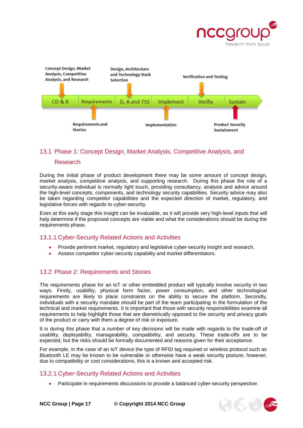



# <span id="page-16-0"></span>13.1 Phase 1: Concept Design, Market Analysis, Competitive Analysis, and

#### Research

During the initial phase of product development there may be some amount of concept design, market analysis, competitive analysis, and supporting research. During this phase the role of a security-aware individual is normally light touch, providing consultancy, analysis and advice around the high-level concepts, components, and technology security capabilities. Security advice may also be taken regarding competitor capabilities and the expected direction of market, regulatory, and legislative forces with regards to cyber-security.

Even at this early stage this insight can be invaluable, as it will provide very high-level inputs that will help determine if the proposed concepts are viable and what the considerations should be during the requirements phase.

#### <span id="page-16-1"></span>13.1.1 Cyber-Security Related Actions and Activities

- Provide pertinent market, regulatory and legislative cyber-security insight and research.
- Assess competitor cyber-security capability and market differentiators.

#### <span id="page-16-2"></span>13.2 Phase 2: Requirements and Stories

The requirements phase for an IoT or other embedded product will typically involve security in two ways. Firstly, usability, physical form factor, power consumption, and other technological requirements are likely to place constraints on the ability to secure the platform. Secondly, individuals with a security mandate should be part of the team participating in the formulation of the technical and market requirements. It is important that those with security responsibilities examine all requirements to help highlight those that are diametrically opposed to the security and privacy goals of the product or carry with them a degree of risk or exposure.

It is during this phase that a number of key decisions will be made with regards to the trade-off of usability, deployability, manageability, compatibility, and security. These trade-offs are to be expected, but the risks should be formally documented and reasons given for their acceptance.

For example, in the case of an IoT device the type of RFID tag required or wireless protocol such as Bluetooth LE may be known to be vulnerable or otherwise have a weak security posture; however, due to compatibility or cost considerations, this is a known and accepted risk.

#### <span id="page-16-3"></span>13.2.1 Cyber-Security Related Actions and Activities

Participate in requirements discussions to provide a balanced cyber-security perspective.

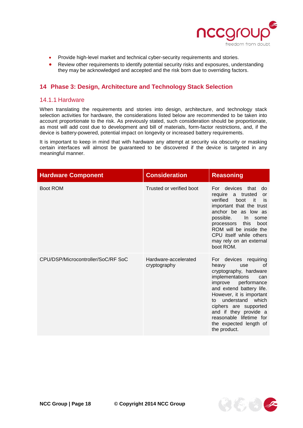

- Provide high-level market and technical cyber-security requirements and stories.
- Review other requirements to identify potential security risks and exposures, understanding they may be acknowledged and accepted and the risk born due to overriding factors.

#### <span id="page-17-0"></span>**14 Phase 3: Design, Architecture and Technology Stack Selection**

#### <span id="page-17-1"></span>14.1.1 Hardware

When translating the requirements and stories into design, architecture, and technology stack selection activities for hardware, the considerations listed below are recommended to be taken into account proportionate to the risk. As previously stated, such consideration should be proportionate, as most will add cost due to development and bill of materials, form-factor restrictions, and, if the device is battery-powered, potential impact on longevity or increased battery requirements.

It is important to keep in mind that with hardware any attempt at security via obscurity or masking certain interfaces will almost be guaranteed to be discovered if the device is targeted in any meaningful manner.

| <b>Hardware Component</b>          | <b>Consideration</b>                 | <b>Reasoning</b>                                                                                                                                                                                                                                                                                                                   |
|------------------------------------|--------------------------------------|------------------------------------------------------------------------------------------------------------------------------------------------------------------------------------------------------------------------------------------------------------------------------------------------------------------------------------|
| <b>Boot ROM</b>                    | Trusted or verified boot             | For devices that<br>do<br>require a trusted<br>or<br>verified<br>boot<br>it it<br>is<br>important that the trust<br>anchor be as low as<br>possible.<br>In some<br>processors this boot<br>ROM will be inside the<br>CPU itself while others<br>may rely on an external<br>boot ROM.                                               |
| CPU/DSP/Microcontroller/SoC/RF SoC | Hardware-accelerated<br>cryptography | For devices requiring<br>heavy<br>use<br>0f<br>cryptography, hardware<br>implementations<br>can<br>improve performance<br>and extend battery life.<br>However, it is important<br>understand which<br>to to<br>ciphers are supported<br>and if they provide a<br>reasonable lifetime for<br>the expected length of<br>the product. |

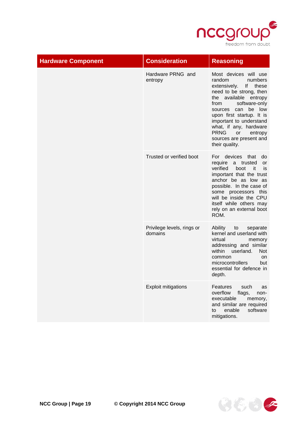

| <b>Hardware Component</b> | <b>Consideration</b>                  | <b>Reasoning</b>                                                                                                                                                                                                                                                                                                                                        |
|---------------------------|---------------------------------------|---------------------------------------------------------------------------------------------------------------------------------------------------------------------------------------------------------------------------------------------------------------------------------------------------------------------------------------------------------|
|                           | Hardware PRNG and<br>entropy          | Most devices will use<br>random<br>numbers<br>lf<br>extensively.<br>these<br>need to be strong, then<br>available entropy<br>the<br>software-only<br>from<br>can<br>be<br>low<br>sources<br>upon first startup. It is<br>important to understand<br>what, if any, hardware<br><b>PRNG</b><br>or<br>entropy<br>sources are present and<br>their quality. |
|                           | Trusted or verified boot              | devices<br>that<br>For<br>do<br>require<br>a trusted<br>or<br>verified<br>boot<br>it<br>is<br>important that the trust<br>anchor be as low as<br>possible. In the case of<br>some processors this<br>will be inside the CPU<br>itself while others may<br>rely on an external boot<br>ROM.                                                              |
|                           | Privilege levels, rings or<br>domains | Ability<br>to<br>separate<br>kernel and userland with<br>virtual<br>memory<br>addressing and similar<br>within<br>userland.<br><b>Not</b><br>common<br>on<br>microcontrollers<br>but<br>essential for defence in<br>depth.                                                                                                                              |
|                           | <b>Exploit mitigations</b>            | Features<br>such<br>as<br>overflow<br>flags,<br>non-<br>executable<br>memory,<br>and similar are required<br>enable<br>software<br>to<br>mitigations.                                                                                                                                                                                                   |

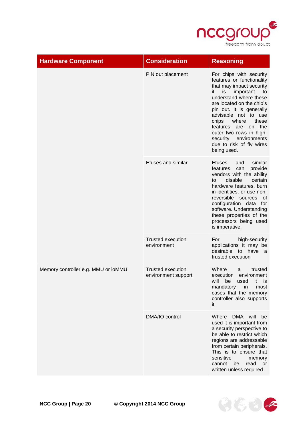

| <b>Hardware Component</b>           | <b>Consideration</b>                            | <b>Reasoning</b>                                                                                                                                                                                                                                                                                                                                                                     |
|-------------------------------------|-------------------------------------------------|--------------------------------------------------------------------------------------------------------------------------------------------------------------------------------------------------------------------------------------------------------------------------------------------------------------------------------------------------------------------------------------|
|                                     | PIN out placement                               | For chips with security<br>features or functionality<br>that may impact security<br>important<br>it<br>is<br>to<br>understand where these<br>are located on the chip's<br>pin out. It is generally<br>advisable not to use<br>chips<br>where<br>these<br>the<br>features<br>are<br>on<br>outer two rows in high-<br>security environments<br>due to risk of fly wires<br>being used. |
|                                     | Efuses and similar                              | similar<br>Efuses<br>and<br>features<br>provide<br>can<br>vendors with the ability<br>disable<br>certain<br>to<br>hardware features, burn<br>in identities, or use non-<br>reversible sources<br>οf<br>configuration data for<br>software. Understanding<br>these properties of the<br>processors being used<br>is imperative.                                                       |
|                                     | <b>Trusted execution</b><br>environment         | For<br>high-security<br>applications it may be<br>desirable to have a<br>trusted execution                                                                                                                                                                                                                                                                                           |
| Memory controller e.g. MMU or ioMMU | <b>Trusted execution</b><br>environment support | Where<br>trusted<br>a<br>execution environment<br>will be used it is<br>mandatory<br>in<br>most<br>cases that the memory<br>controller also supports<br>it.                                                                                                                                                                                                                          |
|                                     | DMA/IO control                                  | will<br>Where<br>DMA<br>be<br>used it is important from<br>a security perspective to<br>be able to restrict which<br>regions are addressable<br>from certain peripherals.<br>This is to ensure that<br>sensitive<br>memory<br>read<br>cannot<br>be<br>or<br>written unless required.                                                                                                 |

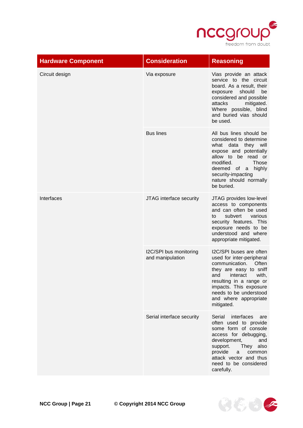

| <b>Hardware Component</b> | <b>Consideration</b>                       | <b>Reasoning</b>                                                                                                                                                                                                                                            |
|---------------------------|--------------------------------------------|-------------------------------------------------------------------------------------------------------------------------------------------------------------------------------------------------------------------------------------------------------------|
| Circuit design            | Via exposure                               | Vias provide an attack<br>service to the circuit<br>board. As a result, their<br>should<br>exposure<br>be<br>considered and possible<br>attacks<br>mitigated.<br>Where possible, blind<br>and buried vias should<br>be used.                                |
|                           | <b>Bus lines</b>                           | All bus lines should be<br>considered to determine<br>what data they will<br>expose and potentially<br>allow to be read or<br>modified.<br><b>Those</b><br>highly<br>deemed of a<br>security-impacting<br>nature should normally<br>be buried.              |
| Interfaces                | JTAG interface security                    | JTAG provides low-level<br>access to components<br>and can often be used<br>subvert<br>various<br>to<br>security features. This<br>exposure needs to be<br>understood and where<br>appropriate mitigated.                                                   |
|                           | I2C/SPI bus monitoring<br>and manipulation | I2C/SPI buses are often<br>used for inter-peripheral<br>Often<br>communication.<br>they are easy to sniff<br>interact<br>with,<br>and<br>resulting in a range or<br>impacts. This exposure<br>needs to be understood<br>and where appropriate<br>mitigated. |
|                           | Serial interface security                  | interfaces<br>Serial<br>are<br>often used to provide<br>some form of console<br>access for debugging,<br>development,<br>and<br>support.<br>They also<br>provide<br>a<br>common<br>attack vector and thus<br>need to be considered<br>carefully.            |

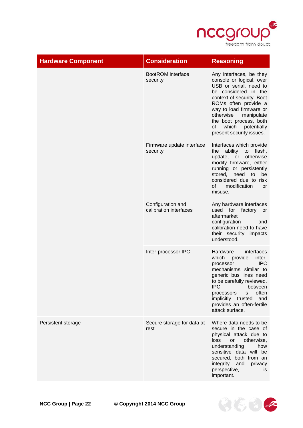

| <b>Hardware Component</b> | <b>Consideration</b>                        | <b>Reasoning</b>                                                                                                                                                                                                                                                                                     |
|---------------------------|---------------------------------------------|------------------------------------------------------------------------------------------------------------------------------------------------------------------------------------------------------------------------------------------------------------------------------------------------------|
|                           | BootROM interface<br>security               | Any interfaces, be they<br>console or logical, over<br>USB or serial, need to<br>be considered in the<br>context of security. Boot<br>ROMs often provide a<br>way to load firmware or<br>otherwise<br>manipulate<br>the boot process, both<br>which<br>of<br>potentially<br>present security issues. |
|                           | Firmware update interface<br>security       | Interfaces which provide<br>ability to flash,<br>the<br>update, or otherwise<br>modify firmware, either<br>running or persistently<br>stored, need<br>to<br>be<br>considered due to risk<br>modification<br>οf<br>or<br>misuse.                                                                      |
|                           | Configuration and<br>calibration interfaces | Any hardware interfaces<br>used for factory or<br>aftermarket<br>configuration<br>and<br>calibration need to have<br>their security impacts<br>understood.                                                                                                                                           |
|                           | Inter-processor IPC                         | Hardware<br>interfaces<br>which<br>provide<br>inter-<br><b>IPC</b><br>processor<br>mechanisms similar to<br>generic bus lines need<br>to be carefully reviewed.<br>IPC.<br>between<br>often<br>processors<br>is<br>implicitly trusted<br>and<br>provides an often-fertile<br>attack surface.         |
| Persistent storage        | Secure storage for data at<br>rest          | Where data needs to be<br>secure in the case of<br>physical attack due to<br>loss<br>or<br>otherwise,<br>understanding<br>how<br>sensitive data will be<br>secured, both from an<br>integrity and<br>privacy<br>perspective,<br><b>is</b><br>important.                                              |



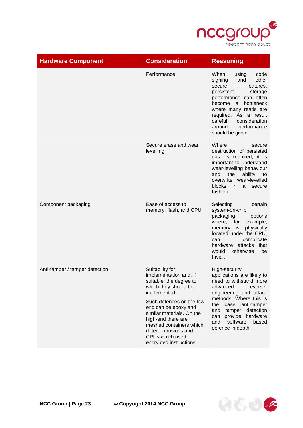

| <b>Hardware Component</b>      | <b>Consideration</b>                                                                                                                                                                                                                                                                                                  | <b>Reasoning</b>                                                                                                                                                                                                                                                                          |
|--------------------------------|-----------------------------------------------------------------------------------------------------------------------------------------------------------------------------------------------------------------------------------------------------------------------------------------------------------------------|-------------------------------------------------------------------------------------------------------------------------------------------------------------------------------------------------------------------------------------------------------------------------------------------|
|                                | Performance                                                                                                                                                                                                                                                                                                           | When<br>using<br>code<br>other<br>and<br>signing<br>secure<br>features,<br>persistent<br>storage<br>performance can often<br>bottleneck<br>become<br>a<br>where many reads are<br>required. As a result<br>careful<br>consideration<br>performance<br>around<br>should be given.          |
|                                | Secure erase and wear<br>levelling                                                                                                                                                                                                                                                                                    | Where<br>secure<br>destruction of persisted<br>data is required, it is<br>important to understand<br>wear-levelling behaviour<br>and<br>the<br>ability<br>to<br>overwrite wear-levelled<br><b>blocks</b><br>in in<br>a<br>secure<br>fashion.                                              |
| Component packaging            | Ease of access to<br>memory, flash, and CPU                                                                                                                                                                                                                                                                           | Selecting<br>certain<br>system-on-chip<br>packaging<br>options<br>where, for<br>example,<br>memory is<br>physically<br>located under the CPU,<br>complicate<br>can<br>hardware attacks that<br>otherwise<br>would<br>be<br>trivial.                                                       |
| Anti-tamper / tamper detection | Suitability for<br>implementation and, if<br>suitable, the degree to<br>which they should be<br>implemented.<br>Such defences on the low<br>end can be epoxy and<br>similar materials. On the<br>high-end there are<br>meshed containers which<br>detect intrusions and<br>CPUs which used<br>encrypted instructions. | High-security<br>applications are likely to<br>need to withstand more<br>advanced<br>reverse-<br>engineering and attack<br>methods. Where this is<br>the<br>case<br>anti-tamper<br>tamper<br>detection<br>and<br>hardware<br>can provide<br>software<br>and<br>based<br>defence in depth. |

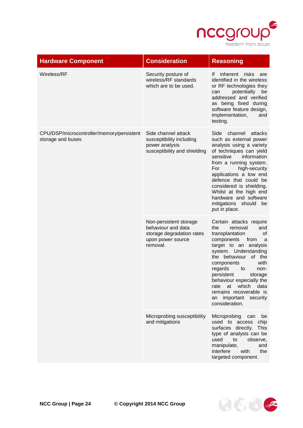

| <b>Hardware Component</b>                                      | <b>Consideration</b>                                                                                       | <b>Reasoning</b>                                                                                                                                                                                                                                                                                                                                                                             |
|----------------------------------------------------------------|------------------------------------------------------------------------------------------------------------|----------------------------------------------------------------------------------------------------------------------------------------------------------------------------------------------------------------------------------------------------------------------------------------------------------------------------------------------------------------------------------------------|
| Wireless/RF                                                    | Security posture of<br>wireless/RF standards<br>which are to be used.                                      | inherent risks<br>lf.<br>are<br>identified in the wireless<br>or RF technologies they<br>potentially<br>can<br>be<br>addressed and verified<br>as being fixed during<br>software feature design,<br>implementation,<br>and<br>testing.                                                                                                                                                       |
| CPU/DSP/microcontroller/memory/persistent<br>storage and buses | Side channel attack<br>susceptibility including<br>power analysis<br>susceptibility and shielding          | Side channel attacks<br>such as external power<br>analysis using a variety<br>of techniques can yield<br>sensitive<br>information<br>from a running system.<br>high-security<br>For<br>applications a low end<br>defence that could be<br>considered is shielding.<br>Whilst at the high end<br>hardware and software<br>mitigations should<br>be<br>put in place.                           |
|                                                                | Non-persistent storage<br>behaviour and data<br>storage degradation rates<br>upon power source<br>removal. | Certain attacks require<br>the<br>removal<br>and<br>transplantation<br>of<br>components<br>from<br>a<br>target to an analysis<br>system. Understanding<br>the behaviour<br>of the<br>with<br>components<br>regards<br>to<br>non-<br>persistent<br>storage<br>behaviour especially the<br>which<br>data<br>rate<br>at<br>remains recoverable is<br>important security<br>an<br>consideration. |
|                                                                | Microprobing susceptibility<br>and mitigations                                                             | Microprobing<br>can<br>be<br>used to access<br>chip<br>surfaces directly.<br>This<br>type of analysis can be<br>used<br>to<br>observe,<br>manipulate,<br>and<br>with<br>interfere<br>the<br>targeted component.                                                                                                                                                                              |

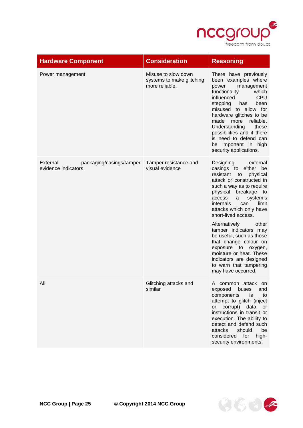

| <b>Hardware Component</b>                                   | <b>Consideration</b>                                               | <b>Reasoning</b>                                                                                                                                                                                                                                                                                                                                                        |
|-------------------------------------------------------------|--------------------------------------------------------------------|-------------------------------------------------------------------------------------------------------------------------------------------------------------------------------------------------------------------------------------------------------------------------------------------------------------------------------------------------------------------------|
| Power management                                            | Misuse to slow down<br>systems to make glitching<br>more reliable. | There have previously<br>been examples where<br>management<br>power<br>functionality<br>which<br><b>CPU</b><br>influenced<br>stepping<br>been<br>has<br>misused to allow for<br>hardware glitches to be<br>reliable.<br>made<br>more<br>Understanding<br>these<br>possibilities and if there<br>is need to defend can<br>be important in high<br>security applications. |
| External<br>packaging/casings/tamper<br>evidence indicators | Tamper resistance and<br>visual evidence                           | Designing<br>external<br>casings to either<br>be<br>resistant<br>physical<br>to<br>attack or constructed in<br>such a way as to require<br>physical<br>breakage to<br>access<br>system's<br>a<br><i>internals</i><br>limit<br>can<br>attacks which only have<br>short-lived access.                                                                                     |
|                                                             |                                                                    | Alternatively<br>other<br>tamper indicators may<br>be useful, such as those<br>that change colour on<br>exposure to oxygen,<br>moisture or heat. These<br>indicators are designed<br>to warn that tampering<br>may have occurred.                                                                                                                                       |
| All                                                         | Glitching attacks and<br>similar                                   | A common attack<br>on.<br>exposed<br>buses<br>and<br>components<br>is<br>to<br>attempt to glitch (inject<br>or corrupt)<br>data<br>or<br>instructions in transit or<br>execution. The ability to<br>detect and defend such<br>attacks<br>should<br>be<br>for<br>considered<br>high-<br>security environments.                                                           |

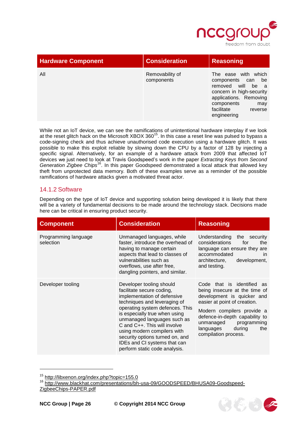

| <b>Hardware Component</b> | <b>Consideration</b>          | <b>Reasoning</b>                                                                                                                                                                       |
|---------------------------|-------------------------------|----------------------------------------------------------------------------------------------------------------------------------------------------------------------------------------|
| All                       | Removability of<br>components | with which<br>The ease<br>be<br>components can<br>removed will be a<br>concern in high-security<br>applications. Removing<br>components<br>may<br>facilitate<br>reverse<br>engineering |

While not an IoT device, we can see the ramifications of unintentional hardware interplay if we look at the reset glitch hack on the Microsoft XBOX 360 $^{15}$ . In this case a reset line was pulsed to bypass a code-signing check and thus achieve unauthorised code execution using a hardware glitch. It was possible to make this exploit reliable by slowing down the CPU by a factor of 128 by injecting a specific signal. Alternatively, for an example of a hardware attack from 2009 that affected IoT devices we just need to look at Travis Goodspeed's work in the paper *Extracting Keys from Second Generation Zigbee Chips*<sup>16</sup>. In this paper Goodspeed demonstrated a local attack that allowed key theft from unprotected data memory. Both of these examples serve as a reminder of the possible ramifications of hardware attacks given a motivated threat actor.

#### <span id="page-25-0"></span>14.1.2 Software

Depending on the type of IoT device and supporting solution being developed it is likely that there will be a variety of fundamental decisions to be made around the technology stack. Decisions made here can be critical in ensuring product security.

| <b>Component</b>                  | <b>Consideration</b>                                                                                                                                                                                                                                                                                                                                                                       | <b>Reasoning</b>                                                                                                                                                                                                                                                               |
|-----------------------------------|--------------------------------------------------------------------------------------------------------------------------------------------------------------------------------------------------------------------------------------------------------------------------------------------------------------------------------------------------------------------------------------------|--------------------------------------------------------------------------------------------------------------------------------------------------------------------------------------------------------------------------------------------------------------------------------|
| Programming language<br>selection | Unmanaged languages, while<br>faster, introduce the overhead of<br>having to manage certain<br>aspects that lead to classes of<br>vulnerabilities such as<br>overflows, use after free,<br>dangling pointers, and similar.                                                                                                                                                                 | Understanding<br>the security<br>considerations<br>for<br>the<br>language can ensure they are<br>accommodated<br><i>in</i><br>development,<br>architecture,<br>and testing.                                                                                                    |
| Developer tooling                 | Developer tooling should<br>facilitate secure coding,<br>implementation of defensive<br>techniques and leveraging of<br>operating system defences. This<br>is especially true when using<br>unmanaged languages such as<br>C and C++. This will involve<br>using modern compilers with<br>security options turned on, and<br>IDEs and CI systems that can<br>perform static code analysis. | Code that is identified<br>as<br>being insecure at the time of<br>development is quicker and<br>easier at point of creation.<br>Modern compilers provide a<br>defence-in-depth capability to<br>programming<br>unmanaged<br>languages<br>during<br>the<br>compilation process. |

 $^{15}$  <http://libxenon.org/index.php?topic=155.0><br> $^{16}$  http://www.blackbat.com/presentations/bb



[http://www.blackhat.com/presentations/bh-usa-09/GOODSPEED/BHUSA09-Goodspeed-](http://www.blackhat.com/presentations/bh-usa-09/GOODSPEED/BHUSA09-Goodspeed-ZigbeeChips-PAPER.pdf)[ZigbeeChips-PAPER.pdf](http://www.blackhat.com/presentations/bh-usa-09/GOODSPEED/BHUSA09-Goodspeed-ZigbeeChips-PAPER.pdf)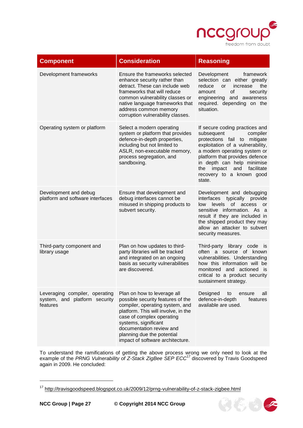

| <b>Component</b>                                                            | <b>Consideration</b>                                                                                                                                                                                                                                                                          | <b>Reasoning</b>                                                                                                                                                                                                                                                                                         |
|-----------------------------------------------------------------------------|-----------------------------------------------------------------------------------------------------------------------------------------------------------------------------------------------------------------------------------------------------------------------------------------------|----------------------------------------------------------------------------------------------------------------------------------------------------------------------------------------------------------------------------------------------------------------------------------------------------------|
| Development frameworks                                                      | Ensure the frameworks selected<br>enhance security rather than<br>detract. These can include web<br>frameworks that will reduce<br>common vulnerability classes or<br>native language frameworks that<br>address common memory<br>corruption vulnerability classes.                           | Development<br>framework<br>selection can either greatly<br>reduce<br>the<br>or<br>increase<br>of<br>amount<br>security<br>engineering and awareness<br>required. depending on the<br>situation.                                                                                                         |
| Operating system or platform                                                | Select a modern operating<br>system or platform that provides<br>defence-in-depth properties,<br>including but not limited to<br>ASLR, non-executable memory,<br>process segregation, and<br>sandboxing.                                                                                      | If secure coding practices and<br>subsequent<br>compiler<br>protections fail to mitigate<br>exploitation of a vulnerability,<br>a modern operating system or<br>platform that provides defence<br>in depth can help minimise<br>impact<br>and<br>facilitate<br>the<br>recovery to a known good<br>state. |
| Development and debug<br>platform and software interfaces                   | Ensure that development and<br>debug interfaces cannot be<br>misused in shipping products to<br>subvert security.                                                                                                                                                                             | Development and debugging<br>interfaces<br>typically<br>provide<br>of access<br>levels<br>low<br>or<br>sensitive information. As a<br>result if they are included in<br>the shipped product they may<br>allow an attacker to subvert<br>security measures.                                               |
| Third-party component and<br>library usage                                  | Plan on how updates to third-<br>party libraries will be tracked<br>and integrated on an ongoing<br>basis as security vulnerabilities<br>are discovered.                                                                                                                                      | Third-party library code is<br>often a source of known<br>vulnerabilities. Understanding<br>how this information will be<br>monitored and actioned is<br>critical to a product security<br>sustainment strategy.                                                                                         |
| Leveraging compiler, operating<br>system, and platform security<br>features | Plan on how to leverage all<br>possible security features of the<br>compiler, operating system, and<br>platform. This will involve, in the<br>case of complex operating<br>systems, significant<br>documentation review and<br>planning due the potential<br>impact of software architecture. | Designed<br>all<br>to<br>ensure<br>defence-in-depth<br>features<br>available are used.                                                                                                                                                                                                                   |

To understand the ramifications of getting the above process wrong we only need to look at the example of the *PRNG Vulnerability of Z-Stack ZigBee SEP ECC*<sup>17</sup> discovered by Travis Goodspeed again in 2009. He concluded:



<sup>17</sup> <http://travisgoodspeed.blogspot.co.uk/2009/12/prng-vulnerability-of-z-stack-zigbee.html>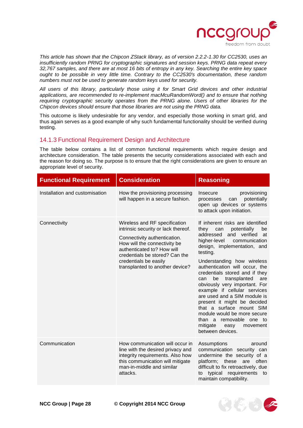

*This article has shown that the Chipcon ZStack library, as of version 2.2.2-1.30 for CC2530, uses an insufficiently random PRNG for cryptographic signatures and session keys. PRNG data repeat every 32,767 samples, and there are at most 16 bits of entropy in any key. Searching the entire key space ought to be possible in very little time. Contrary to the CC2530's documentation, these random numbers must not be used to generate random keys used for security.* 

*All users of this library, particularly those using it for Smart Grid devices and other industrial applications, are recommended to re-implement macMcuRandomWord() and to ensure that nothing requiring cryptographic security operates from the PRNG alone. Users of other libraries for the Chipcon devices should ensure that those libraries are not using the PRNG data.*

This outcome is likely undesirable for any vendor, and especially those working in smart grid, and thus again serves as a good example of why such fundamental functionality should be verified during testing.

#### <span id="page-27-0"></span>14.1.3 Functional Requirement Design and Architecture

The table below contains a list of common functional requirements which require design and architecture consideration. The table presents the security considerations associated with each and the reason for doing so. The purpose is to ensure that the right considerations are given to ensure an appropriate level of security.

| <b>Functional Requirement</b>  | <b>Consideration</b>                                                                                                                                                                                                                                             | <b>Reasoning</b>                                                                                                                                                                                                                                                                                                                                                                                                                                                                                                                                                                                    |
|--------------------------------|------------------------------------------------------------------------------------------------------------------------------------------------------------------------------------------------------------------------------------------------------------------|-----------------------------------------------------------------------------------------------------------------------------------------------------------------------------------------------------------------------------------------------------------------------------------------------------------------------------------------------------------------------------------------------------------------------------------------------------------------------------------------------------------------------------------------------------------------------------------------------------|
| Installation and customisation | How the provisioning processing<br>will happen in a secure fashion.                                                                                                                                                                                              | provisioning<br>Insecure<br>potentially<br>processes<br>can<br>open up devices or systems<br>to attack upon initiation.                                                                                                                                                                                                                                                                                                                                                                                                                                                                             |
| Connectivity                   | Wireless and RF specification<br>intrinsic security or lack thereof.<br>Connectivity authentication.<br>How will the connectivity be<br>authenticated to? How will<br>credentials be stored? Can the<br>credentials be easily<br>transplanted to another device? | If inherent risks are identified<br>they<br>can<br>potentially<br>be<br>addressed<br>and verified<br>at<br>higher-level<br>communication<br>design, implementation, and<br>testing.<br>Understanding how wireless<br>authentication will occur, the<br>credentials stored and if they<br>be<br>transplanted<br>can<br>are<br>obviously very important. For<br>example if cellular services<br>are used and a SIM module is<br>present it might be decided<br>that a surface mount SIM<br>module would be more secure<br>than a removable one to<br>mitigate<br>easy<br>movement<br>between devices. |
| Communication                  | How communication will occur in<br>line with the desired privacy and<br>integrity requirements. Also how<br>this communication will mitigate<br>man-in-middle and similar<br>attacks.                                                                            | Assumptions<br>around<br>communication security can<br>undermine the security of a<br>platform; these are<br>often<br>difficult to fix retroactively, due<br>typical requirements to<br>to<br>maintain compatibility.                                                                                                                                                                                                                                                                                                                                                                               |

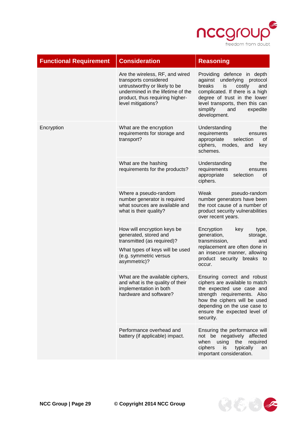

安信さく

| <b>Functional Requirement</b> | <b>Consideration</b>                                                                                                                                                                    | <b>Reasoning</b>                                                                                                                                                                                                                                |
|-------------------------------|-----------------------------------------------------------------------------------------------------------------------------------------------------------------------------------------|-------------------------------------------------------------------------------------------------------------------------------------------------------------------------------------------------------------------------------------------------|
|                               | Are the wireless, RF, and wired<br>transports considered<br>untrustworthy or likely to be<br>undermined in the lifetime of the<br>product, thus requiring higher-<br>level mitigations? | Providing defence in depth<br>against underlying protocol<br>breaks<br>is<br>costly<br>and<br>complicated. If there is a high<br>degree of trust in the lower<br>level transports, then this can<br>simplify<br>and<br>expedite<br>development. |
| Encryption                    | What are the encryption<br>requirements for storage and<br>transport?                                                                                                                   | Understanding<br>the<br>requirements<br>ensures<br>appropriate<br>selection<br>0f<br>ciphers, modes,<br>and<br>key<br>schemes.                                                                                                                  |
|                               | What are the hashing<br>requirements for the products?                                                                                                                                  | Understanding<br>the<br>requirements<br>ensures<br>appropriate<br>selection<br>0f<br>ciphers.                                                                                                                                                   |
|                               | Where a pseudo-random<br>number generator is required<br>what sources are available and<br>what is their quality?                                                                       | Weak<br>pseudo-random<br>number generators have been<br>the root cause of a number of<br>product security vulnerabilities<br>over recent years.                                                                                                 |
|                               | How will encryption keys be<br>generated, stored and<br>transmitted (as required)?<br>What types of keys will be used<br>(e.g. symmetric versus<br>asymmetric)?                         | Encryption<br>key<br>type,<br>generation,<br>storage,<br>transmission,<br>and<br>replacement are often done in<br>an insecure manner, allowing<br>product security breaks to<br>occur.                                                          |
|                               | What are the available ciphers,<br>and what is the quality of their<br>implementation in both<br>hardware and software?                                                                 | Ensuring correct and robust<br>ciphers are available to match<br>the expected use case and<br>strength requirements. Also<br>how the ciphers will be used<br>depending on the use case to<br>ensure the expected level of<br>security.          |
|                               | Performance overhead and<br>battery (if applicable) impact.                                                                                                                             | Ensuring the performance will<br>not be negatively affected<br>when<br>using<br>the<br>required<br>ciphers<br>typically<br>is<br>an<br>important consideration.                                                                                 |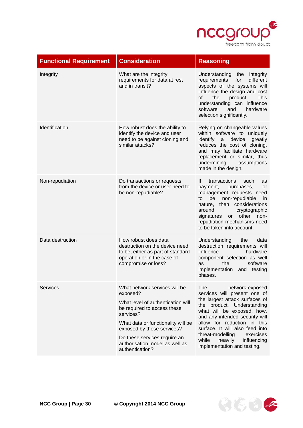

| <b>Functional Requirement</b> | <b>Consideration</b>                                                                                                                                                                                                                                                                | <b>Reasoning</b>                                                                                                                                                                                                                                                                                                                                            |
|-------------------------------|-------------------------------------------------------------------------------------------------------------------------------------------------------------------------------------------------------------------------------------------------------------------------------------|-------------------------------------------------------------------------------------------------------------------------------------------------------------------------------------------------------------------------------------------------------------------------------------------------------------------------------------------------------------|
| Integrity                     | What are the integrity<br>requirements for data at rest<br>and in transit?                                                                                                                                                                                                          | Understanding<br>the<br>integrity<br>requirements<br>for<br>different<br>aspects of the systems will<br>influence the design and cost<br><b>of</b><br>the<br>product.<br><b>This</b><br>understanding can influence<br>software<br>and<br>hardware<br>selection significantly.                                                                              |
| Identification                | How robust does the ability to<br>identify the device and user<br>need to be against cloning and<br>similar attacks?                                                                                                                                                                | Relying on changeable values<br>within software to uniquely<br>identify<br>device<br>a<br>greatly<br>reduces the cost of cloning,<br>and may facilitate hardware<br>replacement or similar, thus<br>undermining<br>assumptions<br>made in the design.                                                                                                       |
| Non-repudiation               | Do transactions or requests<br>from the device or user need to<br>be non-repudiable?                                                                                                                                                                                                | If<br>transactions<br>such<br>as<br>purchases,<br>payment,<br>or<br>management requests need<br>be<br>non-repudiable<br>to<br>in<br>nature, then considerations<br>cryptographic<br>around<br>or other<br>non-<br>signatures<br>repudiation mechanisms need<br>to be taken into account.                                                                    |
| Data destruction              | How robust does data<br>destruction on the device need<br>to be, either as part of standard<br>operation or in the case of<br>compromise or loss?                                                                                                                                   | Understanding<br>data<br>the<br>destruction requirements will<br>influence<br>hardware<br>component selection as well<br>the<br>software<br>as<br>implementation<br>and testing<br>phases.                                                                                                                                                                  |
| <b>Services</b>               | What network services will be<br>exposed?<br>What level of authentication will<br>be required to access these<br>services?<br>What data or functionality will be<br>exposed by these services?<br>Do these services require an<br>authorisation model as well as<br>authentication? | The<br>network-exposed<br>services will present one of<br>the largest attack surfaces of<br>the product. Understanding<br>what will be exposed, how,<br>and any intended security will<br>allow for reduction in this<br>surface. It will also feed into<br>threat-modelling<br>exercises<br>while<br>heavily<br>influencing<br>implementation and testing. |

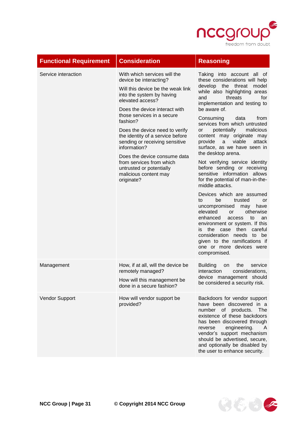

| <b>Functional Requirement</b> | <b>Consideration</b>                                                                                                                                                                                                                                                                                                                                                                                                                                                           | <b>Reasoning</b>                                                                                                                                                                                                                                                                                                                                                                                                                                                                                                                                                                                                                                                                                                                                                                                                                                                                                                         |
|-------------------------------|--------------------------------------------------------------------------------------------------------------------------------------------------------------------------------------------------------------------------------------------------------------------------------------------------------------------------------------------------------------------------------------------------------------------------------------------------------------------------------|--------------------------------------------------------------------------------------------------------------------------------------------------------------------------------------------------------------------------------------------------------------------------------------------------------------------------------------------------------------------------------------------------------------------------------------------------------------------------------------------------------------------------------------------------------------------------------------------------------------------------------------------------------------------------------------------------------------------------------------------------------------------------------------------------------------------------------------------------------------------------------------------------------------------------|
| Service interaction           | With which services will the<br>device be interacting?<br>Will this device be the weak link<br>into the system by having<br>elevated access?<br>Does the device interact with<br>those services in a secure<br>fashion?<br>Does the device need to verify<br>the identity of a service before<br>sending or receiving sensitive<br>information?<br>Does the device consume data<br>from services from which<br>untrusted or potentially<br>malicious content may<br>originate? | Taking into account all of<br>these considerations will help<br>develop the threat model<br>while also highlighting areas<br>and<br>threats<br>for<br>implementation and testing to<br>be aware of.<br>Consuming<br>from<br>data<br>services from which untrusted<br>potentially<br>malicious<br>or<br>content may originate may<br>provide<br>viable<br>a<br>attack<br>surface, as we have seen in<br>the desktop arena.<br>Not verifying service identity<br>before sending or receiving<br>sensitive information allows<br>for the potential of man-in-the-<br>middle attacks.<br>Devices which are assumed<br>be<br>to<br>trusted<br>or<br>uncompromised<br>have<br>may<br>elevated<br>otherwise<br>or<br>enhanced<br>to<br>an<br>access<br>environment or system. If this<br>the case then careful<br>is.<br>consideration needs to be<br>given to the ramifications if<br>one or more devices were<br>compromised. |
| Management                    | How, if at all, will the device be<br>remotely managed?<br>How will this management be<br>done in a secure fashion?                                                                                                                                                                                                                                                                                                                                                            | <b>Building</b><br>the<br>service<br>on<br>interaction<br>considerations,<br>device management should<br>be considered a security risk.                                                                                                                                                                                                                                                                                                                                                                                                                                                                                                                                                                                                                                                                                                                                                                                  |
| Vendor Support                | How will vendor support be<br>provided?                                                                                                                                                                                                                                                                                                                                                                                                                                        | Backdoors for vendor support<br>have been discovered in a<br>number of products.<br>The<br>existence of these backdoors<br>has been discovered through<br>engineering.<br>reverse<br>A<br>vendor's support mechanism<br>should be advertised, secure,<br>and optionally be disabled by<br>the user to enhance security.                                                                                                                                                                                                                                                                                                                                                                                                                                                                                                                                                                                                  |

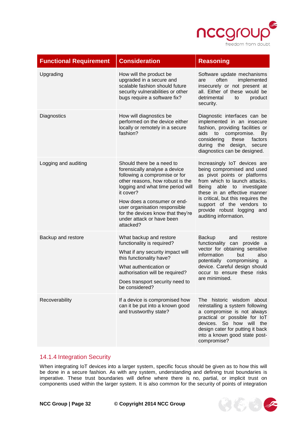

そももく

| <b>Functional Requirement</b> | <b>Consideration</b>                                                                                                                                                                                                                                                                                                             | <b>Reasoning</b>                                                                                                                                                                                                                                                                                                   |
|-------------------------------|----------------------------------------------------------------------------------------------------------------------------------------------------------------------------------------------------------------------------------------------------------------------------------------------------------------------------------|--------------------------------------------------------------------------------------------------------------------------------------------------------------------------------------------------------------------------------------------------------------------------------------------------------------------|
| Upgrading                     | How will the product be<br>upgraded in a secure and<br>scalable fashion should future<br>security vulnerabilities or other<br>bugs require a software fix?                                                                                                                                                                       | Software update mechanisms<br>implemented<br>often<br>are<br>insecurely or not present at<br>all. Either of these would be<br>detrimental<br>product<br>to<br>security.                                                                                                                                            |
| Diagnostics                   | How will diagnostics be<br>performed on the device either<br>locally or remotely in a secure<br>fashion?                                                                                                                                                                                                                         | Diagnostic interfaces can be<br>implemented in an insecure<br>fashion, providing facilities or<br>aids<br>to compromise.<br>By<br>these<br>factors<br>considering<br>during the design,<br>secure<br>diagnostics can be designed.                                                                                  |
| Logging and auditing          | Should there be a need to<br>forensically analyse a device<br>following a compromise or for<br>other reasons, how robust is the<br>logging and what time period will<br>it cover?<br>How does a consumer or end-<br>user organisation responsible<br>for the devices know that they're<br>under attack or have been<br>attacked? | Increasingly IoT devices are<br>being compromised and used<br>as pivot points or platforms<br>from which to launch attacks.<br>Being able to investigate<br>these in an effective manner<br>is critical, but this requires the<br>support of the vendors to<br>provide robust logging and<br>auditing information. |
| Backup and restore            | What backup and restore<br>functionality is required?<br>What if any security impact will<br>this functionality have?<br>What authentication or<br>authorisation will be required?<br>Does transport security need to<br>be considered?                                                                                          | <b>Backup</b><br>and<br>restore<br>functionality can provide a<br>vector for obtaining sensitive<br>information<br>also<br>but<br>potentially compromising a<br>device. Careful design should<br>occur to ensure these risks<br>are minimised.                                                                     |
| Recoverability                | If a device is compromised how<br>can it be put into a known good<br>and trustworthy state?                                                                                                                                                                                                                                      | The historic wisdom about<br>reinstalling a system following<br>a compromise is not always<br>practical or possible for loT<br>devices. So how will the<br>design cater for putting it back<br>into a known good state post-<br>compromise?                                                                        |

### <span id="page-31-0"></span>14.1.4 Integration Security

When integrating IoT devices into a larger system, specific focus should be given as to how this will be done in a secure fashion. As with any system, understanding and defining trust boundaries is imperative. These trust boundaries will define where there is no, partial, or implicit trust on components used within the larger system. It is also common for the security of points of integration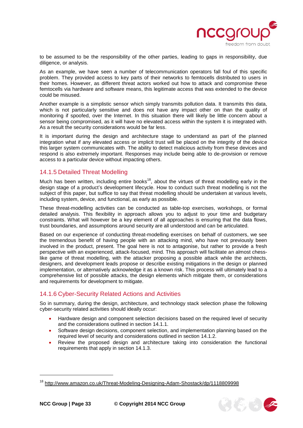

to be assumed to be the responsibility of the other parties, leading to gaps in responsibility, due diligence, or analysis.

As an example, we have seen a number of telecommunication operators fall foul of this specific problem. They provided access to key parts of their networks to femtocells distributed to users in their homes. However, as different threat actors worked out how to attack and compromise these femtocells via hardware and software means, this legitimate access that was extended to the device could be misused.

Another example is a simplistic sensor which simply transmits pollution data. It transmits this data, which is not particularly sensitive and does not have any impact other on than the quality of monitoring if spoofed, over the Internet. In this situation there will likely be little concern about a sensor being compromised, as it will have no elevated access within the system it is integrated with. As a result the security considerations would be far less.

It is important during the design and architecture stage to understand as part of the planned integration what if any elevated access or implicit trust will be placed on the integrity of the device this larger system communicates with. The ability to detect malicious activity from these devices and respond is also extremely important. Responses may include being able to de-provision or remove access to a particular device without impacting others.

#### <span id="page-32-0"></span>14.1.5 Detailed Threat Modelling

Much has been written, including entire books<sup>18</sup>, about the virtues of threat modelling early in the design stage of a product's development lifecycle. How to conduct such threat modelling is not the subject of this paper, but suffice to say that threat modelling should be undertaken at various levels, including system, device, and functional, as early as possible.

These threat-modelling activities can be conducted as table-top exercises, workshops, or formal detailed analysis. This flexibility in approach allows you to adjust to your time and budgetary constraints. What will however be a key element of all approaches is ensuring that the data flows, trust boundaries, and assumptions around security are all understood and can be articulated.

Based on our experience of conducting threat-modelling exercises on behalf of customers, we see the tremendous benefit of having people with an attacking mind, who have not previously been involved in the product, present. The goal here is not to antagonise, but rather to provide a fresh perspective with an experienced, attack-focused, mind. This approach will facilitate an almost chesslike game of threat modelling, with the attacker proposing a possible attack while the architects, designers, and development leads propose or describe existing mitigations in the design or planned implementation, or alternatively acknowledge it as a known risk. This process will ultimately lead to a comprehensive list of possible attacks, the design elements which mitigate them, or considerations and requirements for development to mitigate.

# <span id="page-32-1"></span>14.1.6 Cyber-Security Related Actions and Activities

So in summary, during the design, architecture, and technology stack selection phase the following cyber-security related activities should ideally occur:

- Hardware design and component selection decisions based on the required level of security and the considerations outlined in section [14.1.1.](#page-17-1)
- Software design decisions, component selection, and implementation planning based on the required level of security and considerations outlined in section [14.1.2.](#page-25-0)
- Review the proposed design and architecture taking into consideration the functional requirements that apply in section [14.1.3.](#page-27-0)



<sup>&</sup>lt;sup>18</sup> <http://www.amazon.co.uk/Threat-Modeling-Designing-Adam-Shostack/dp/1118809998>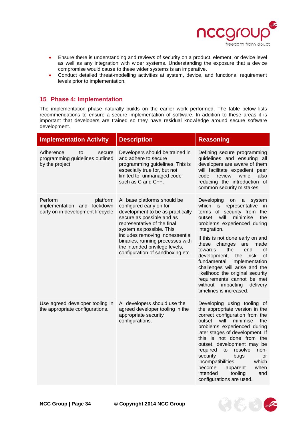

- Ensure there is understanding and reviews of security on a product, element, or device level as well as any integration with wider systems. Understanding the exposure that a device compromise would cause to these wider systems is an imperative.
- Conduct detailed threat-modelling activities at system, device, and functional requirement levels prior to implementation.

### <span id="page-33-0"></span>**15 Phase 4: Implementation**

The implementation phase naturally builds on the earlier work performed. The table below lists recommendations to ensure a secure implementation of software. In addition to these areas it is important that developers are trained so they have residual knowledge around secure software development.

| <b>Implementation Activity</b>                                                          | <b>Description</b>                                                                                                                                                                                                                                                                                                              | <b>Reasoning</b>                                                                                                                                                                                                                                                                                                                                                                                                                                                                                                                 |
|-----------------------------------------------------------------------------------------|---------------------------------------------------------------------------------------------------------------------------------------------------------------------------------------------------------------------------------------------------------------------------------------------------------------------------------|----------------------------------------------------------------------------------------------------------------------------------------------------------------------------------------------------------------------------------------------------------------------------------------------------------------------------------------------------------------------------------------------------------------------------------------------------------------------------------------------------------------------------------|
| Adherence<br>secure<br>to<br>programming guidelines outlined<br>by the project          | Developers should be trained in<br>and adhere to secure<br>programming guidelines. This is<br>especially true for, but not<br>limited to, unmanaged code<br>such as C and C++.                                                                                                                                                  | Defining secure programming<br>guidelines and ensuring all<br>developers are aware of them<br>will facilitate expedient peer<br>while<br>also<br>code<br>review<br>reducing the introduction of<br>common security mistakes.                                                                                                                                                                                                                                                                                                     |
| Perform<br>platform<br>implementation and lockdown<br>early on in development lifecycle | All base platforms should be<br>configured early on for<br>development to be as practically<br>secure as possible and as<br>representative of the final<br>system as possible. This<br>includes removing nonessential<br>binaries, running processes with<br>the intended privilege levels,<br>configuration of sandboxing etc. | Developing<br>on<br>a<br>system<br>which is<br>representative<br>in<br>of security from the<br>terms<br>will<br>minimise<br>outset<br>the<br>problems experienced during<br>integration.<br>If this is not done early on and<br>these changes<br>are<br>made<br>the<br>towards<br>end<br>οf<br>development,<br>the<br>risk<br>Οf<br>fundamental<br>implementation<br>challenges will arise and the<br>likelihood the original security<br>requirements cannot be met<br>without impacting<br>delivery<br>timelines is increased. |
| Use agreed developer tooling in<br>the appropriate configurations.                      | All developers should use the<br>agreed developer tooling in the<br>appropriate security<br>configurations.                                                                                                                                                                                                                     | Developing using tooling of<br>the appropriate version in the<br>correct configuration from the<br>will<br>minimise<br>the<br>outset<br>problems experienced during<br>later stages of development. If<br>this is not done from the<br>outset, development may be<br>resolve<br>required<br>non-<br>to<br>security<br>bugs<br>or<br>incompatibilities<br>which<br>when<br>become<br>apparent<br>intended<br>tooling<br>and<br>configurations are used.                                                                           |

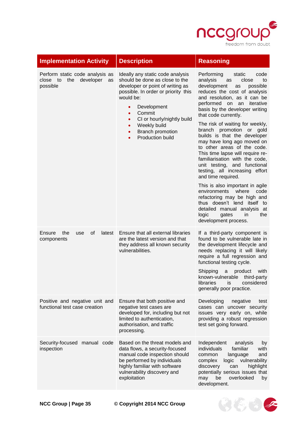

 $8666$ 

| <b>Implementation Activity</b>                                                    | <b>Description</b>                                                                                                                                                                                                                                                                                                                                | <b>Reasoning</b>                                                                                                                                                                                                                                                                                                                                                                                                                                                                                                                                                                                                                                                                                                                                                                                           |
|-----------------------------------------------------------------------------------|---------------------------------------------------------------------------------------------------------------------------------------------------------------------------------------------------------------------------------------------------------------------------------------------------------------------------------------------------|------------------------------------------------------------------------------------------------------------------------------------------------------------------------------------------------------------------------------------------------------------------------------------------------------------------------------------------------------------------------------------------------------------------------------------------------------------------------------------------------------------------------------------------------------------------------------------------------------------------------------------------------------------------------------------------------------------------------------------------------------------------------------------------------------------|
| Perform static code analysis as<br>the<br>developer<br>close to<br>as<br>possible | Ideally any static code analysis<br>should be done as close to the<br>developer or point of writing as<br>possible. In order or priority this<br>would be:<br>Development<br>$\bullet$<br>Commit<br>$\bullet$<br>CI or hourly/nightly build<br>$\bullet$<br>Weekly build<br>$\bullet$<br><b>Branch promotion</b><br>Production build<br>$\bullet$ | Performing<br>static<br>code<br>analysis<br>close<br>as<br>to<br>development<br>possible<br>as<br>reduces the cost of analysis<br>and resolution, as it can be<br>performed on an<br>iterative<br>basis by the developer writing<br>that code currently.<br>The risk of waiting for weekly,<br>branch promotion or gold<br>builds is that the developer<br>may have long ago moved on<br>to other areas of the code.<br>This time lapse will require re-<br>familiarisation with the code,<br>unit testing, and functional<br>testing, all increasing effort<br>and time required.<br>This is also important in agile<br>environments<br>where<br>code<br>refactoring may be high and<br>thus doesn't lend itself to<br>detailed manual analysis at<br>logic<br>gates<br>in<br>the<br>development process. |
| Ensure<br>the<br>οf<br>use<br>latest<br>components                                | Ensure that all external libraries<br>are the latest version and that<br>they address all known security<br>vulnerabilities.                                                                                                                                                                                                                      | If a third-party component is<br>found to be vulnerable late in<br>the development lifecycle and<br>needs replacing it will likely<br>require a full regression and<br>functional testing cycle.<br>with<br>Shipping<br>product<br>a<br>known-vulnerable<br>third-party<br>libraries<br>considered<br>is<br>generally poor practice.                                                                                                                                                                                                                                                                                                                                                                                                                                                                       |
| Positive and negative unit and<br>functional test case creation                   | Ensure that both positive and<br>negative test cases are<br>developed for, including but not<br>limited to authentication,<br>authorisation, and traffic<br>processing.                                                                                                                                                                           | Developing<br>negative<br>test<br>cases can uncover security<br>issues very early on, while<br>providing a robust regression<br>test set going forward.                                                                                                                                                                                                                                                                                                                                                                                                                                                                                                                                                                                                                                                    |
| Security-focused<br>manual code<br>inspection                                     | Based on the threat models and<br>data flows, a security-focused<br>manual code inspection should<br>be performed by individuals<br>highly familiar with software<br>vulnerability discovery and<br>exploitation                                                                                                                                  | Independent<br>analysis<br>by<br>individuals<br>familiar<br>with<br>language<br>and<br>common<br>vulnerability<br>complex<br>logic<br>discovery<br>highlight<br>can<br>potentially serious issues that<br>overlooked<br>be<br>may<br>by<br>development.                                                                                                                                                                                                                                                                                                                                                                                                                                                                                                                                                    |

**NCC Group | Page 35 © Copyright 2014 NCC Group**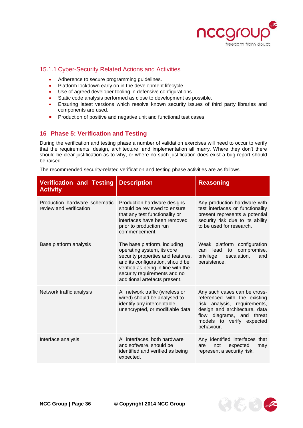

やちゅう

# <span id="page-35-0"></span>15.1.1 Cyber-Security Related Actions and Activities

- Adherence to secure programming guidelines.
- Platform lockdown early on in the development lifecycle.
- Use of agreed developer tooling in defensive configurations.
- Static code analysis performed as close to development as possible.
- Ensuring latest versions which resolve known security issues of third party libraries and components are used.
- Production of positive and negative unit and functional test cases.

# <span id="page-35-1"></span>**16 Phase 5: Verification and Testing**

During the verification and testing phase a number of validation exercises will need to occur to verify that the requirements, design, architecture, and implementation all marry. Where they don't there should be clear justification as to why, or where no such justification does exist a bug report should be raised.

The recommended security-related verification and testing phase activities are as follows.

| <b>Verification and Testing</b><br><b>Activity</b>       | <b>Description</b>                                                                                                                                                                                                                         | <b>Reasoning</b>                                                                                                                                                                                      |
|----------------------------------------------------------|--------------------------------------------------------------------------------------------------------------------------------------------------------------------------------------------------------------------------------------------|-------------------------------------------------------------------------------------------------------------------------------------------------------------------------------------------------------|
| Production hardware schematic<br>review and verification | Production hardware designs<br>should be reviewed to ensure<br>that any test functionality or<br>interfaces have been removed<br>prior to production run<br>commencement.                                                                  | Any production hardware with<br>test interfaces or functionality<br>present represents a potential<br>security risk due to its ability<br>to be used for research.                                    |
| Base platform analysis                                   | The base platform, including<br>operating system, its core<br>security properties and features,<br>and its configuration, should be<br>verified as being in line with the<br>security requirements and no<br>additional artefacts present. | Weak platform configuration<br>compromise,<br>lead<br>can<br>to<br>escalation,<br>privilege<br>and<br>persistence.                                                                                    |
| Network traffic analysis                                 | All network traffic (wireless or<br>wired) should be analysed to<br>identify any interceptable,<br>unencrypted, or modifiable data.                                                                                                        | Any such cases can be cross-<br>referenced with the existing<br>risk analysis, requirements,<br>design and architecture, data<br>flow diagrams, and threat<br>models to verify expected<br>behaviour. |
| Interface analysis                                       | All interfaces, both hardware<br>and software, should be<br>identified and verified as being<br>expected.                                                                                                                                  | Any identified interfaces that<br>not<br>expected<br>are<br>may<br>represent a security risk.                                                                                                         |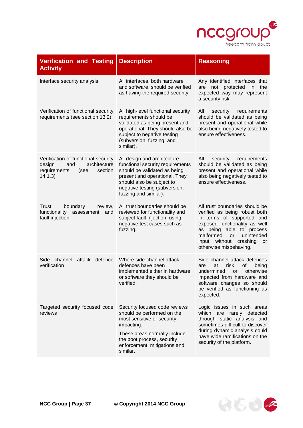

 $9535$ 

| <b>Verification and Testing</b><br><b>Activity</b>                                                                 | <b>Description</b>                                                                                                                                                                                                      | <b>Reasoning</b>                                                                                                                                                                                                                                            |
|--------------------------------------------------------------------------------------------------------------------|-------------------------------------------------------------------------------------------------------------------------------------------------------------------------------------------------------------------------|-------------------------------------------------------------------------------------------------------------------------------------------------------------------------------------------------------------------------------------------------------------|
| Interface security analysis                                                                                        | All interfaces, both hardware<br>and software, should be verified<br>as having the required security                                                                                                                    | Any identified interfaces that<br>not protected<br>the<br>are<br>in<br>expected way may represent<br>a security risk.                                                                                                                                       |
| Verification of functional security<br>requirements (see section 13.2)                                             | All high-level functional security<br>requirements should be<br>validated as being present and<br>operational. They should also be<br>subject to negative testing<br>(subversion, fuzzing, and<br>similar).             | All<br>requirements<br>security<br>should be validated as being<br>present and operational while<br>also being negatively tested to<br>ensure effectiveness.                                                                                                |
| Verification of functional security<br>architecture<br>design<br>and<br>requirements<br>section<br>(see<br>14.1.3) | All design and architecture<br>functional security requirements<br>should be validated as being<br>present and operational. They<br>should also be subject to<br>negative testing (subversion,<br>fuzzing and similar). | All<br>requirements<br>security<br>should be validated as being<br>present and operational while<br>also being negatively tested to<br>ensure effectiveness.                                                                                                |
| Trust<br>boundary<br>review,<br>functionality<br>assessment<br>and<br>fault injection                              | All trust boundaries should be<br>reviewed for functionality and<br>subject fault injection, using<br>negative test cases such as<br>fuzzing.                                                                           | All trust boundaries should be<br>verified as being robust both<br>in terms of supported and<br>exposed functionality as well<br>as being able to process<br>malformed<br>unintended<br><b>or</b><br>input without crashing<br>or<br>otherwise misbehaving. |
| Side channel<br>attack<br>defence<br>verification                                                                  | Where side-channel attack<br>defences have been<br>implemented either in hardware<br>or software they should be<br>verified.                                                                                            | Side channel attack defences<br>at<br>risk<br>οf<br>being<br>are<br>undermined<br>otherwise<br>or<br>impacted from hardware and<br>software changes so should<br>be verified as functioning as<br>expected.                                                 |
| Targeted security focused code<br>reviews                                                                          | Security focused code reviews<br>should be performed on the<br>most sensitive or security<br>impacting.<br>These areas normally include<br>the boot process, security<br>enforcement, mitigations and<br>similar.       | Logic issues in such areas<br>which are rarely detected<br>through static analysis and<br>sometimes difficult to discover<br>during dynamic analysis could<br>have wide ramifications on the<br>security of the platform.                                   |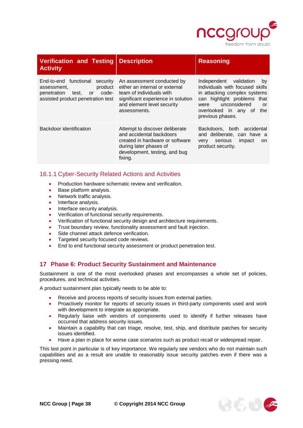

| <b>Verification and Testing</b><br><b>Activity</b>                                                                                          | <b>Description</b>                                                                                                                                                           | <b>Reasoning</b>                                                                                                                                                                                                |
|---------------------------------------------------------------------------------------------------------------------------------------------|------------------------------------------------------------------------------------------------------------------------------------------------------------------------------|-----------------------------------------------------------------------------------------------------------------------------------------------------------------------------------------------------------------|
| End-to-end functional security<br>product<br>assessment.<br>code-<br>penetration<br>test.<br><b>or</b><br>assisted product penetration test | An assessment conducted by<br>either an internal or external<br>team of individuals with<br>significant experience in solution<br>and element level security<br>assessments. | Independent validation<br>by<br>individuals with focused skills<br>in attacking complex systems<br>can highlight problems that<br>unconsidered<br>were<br>or<br>overlooked in any of<br>the<br>previous phases. |
| Backdoor identification                                                                                                                     | Attempt to discover deliberate<br>and accidental backdoors<br>created in hardware or software<br>during later phases of<br>development, testing, and bug<br>fixing.          | Backdoors, both accidental<br>and deliberate, can have a<br>very serious<br>impact<br>on.<br>product security.                                                                                                  |

# <span id="page-37-0"></span>16.1.1 Cyber-Security Related Actions and Activities

- Production hardware schematic review and verification.
- Base platform analysis.
- Network traffic analysis.
- Interface analysis.
- Interface security analysis.
- Verification of functional security requirements.
- Verification of functional security design and architecture requirements.
- Trust boundary review, functionality assessment and fault injection.
- Side channel attack defence verification.
- Targeted security focused code reviews.
- End to end functional security assessment or product penetration test.

# <span id="page-37-1"></span>**17 Phase 6: Product Security Sustainment and Maintenance**

Sustainment is one of the most overlooked phases and encompasses a whole set of policies, procedures, and technical activities.

A product sustainment plan typically needs to be able to:

- Receive and process reports of security issues from external parties.
- Proactively monitor for reports of security issues in third-party components used and work with development to integrate as appropriate.
- Regularly liaise with vendors of components used to identify if further releases have occurred that address security issues.
- Maintain a capability that can triage, resolve, test, ship, and distribute patches for security issues identified.
- Have a plan in place for worse case scenarios such as product recall or widespread repair.

This last point in particular is of key importance. We regularly see vendors who do not maintain such capabilities and as a result are unable to reasonably issue security patches even if there was a pressing need.

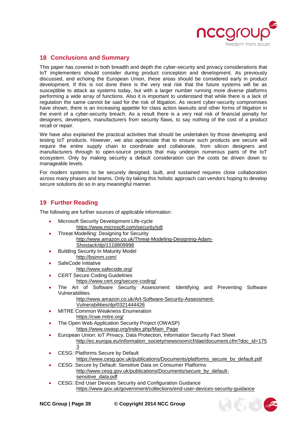

# <span id="page-38-0"></span>**18 Conclusions and Summary**

This paper has covered in both breadth and depth the cyber-security and privacy considerations that IoT implementers should consider during product conception and development. As previously discussed, and echoing the European Union, these areas should be considered early in product development. If this is not done there is the very real risk that the future systems will be as susceptible to attack as systems today, but with a larger number running more diverse platforms performing a wide array of functions. Also it is important to understand that while there is a lack of regulation the same cannot be said for the risk of litigation. As recent cyber-security compromises have shown, there is an increasing appetite for class action lawsuits and other forms of litigation in the event of a cyber-security breach. As a result there is a very real risk of financial penalty for designers, developers, manufacturers from security flaws, to say nothing of the cost of a product recall or repair.

We have also explained the practical activities that should be undertaken by those developing and testing IoT products. However, we also appreciate that to ensure such products are secure will require the entire supply chain to coordinate and collaborate, from silicon designers and manufacturers through to open-source projects that may underpin numerous parts of the IoT ecosystem. Only by making security a default consideration can the costs be driven down to manageable levels.

For modern systems to be securely designed, built, and sustained requires close collaboration across many phases and teams. Only by taking this holistic approach can vendors hoping to develop secure solutions do so in any meaningful manner.

# <span id="page-38-1"></span>**19 Further Reading**

The following are further sources of applicable information:

- Microsoft Security Development Life-cycle <https://www.microsoft.com/security/sdl>
- Threat Modelling: Designing for Security [http://www.amazon.co.uk/Threat-Modeling-Designing-Adam-](http://www.amazon.co.uk/Threat-Modeling-Designing-Adam-Shostack/dp/1118809998)[Shostack/dp/1118809998](http://www.amazon.co.uk/Threat-Modeling-Designing-Adam-Shostack/dp/1118809998)
- Building Security In Maturity Model <http://bsimm.com/>
- SafeCode Initiative
	- <http://www.safecode.org/>
	- CERT Secure Coding Guidelines
		- <https://www.cert.org/secure-coding/>
- The Art of Software Security Assessment: Identifying and Preventing Software Vulnerabilities
	- [http://www.amazon.co.uk/Art-Software-Security-Assessment-](http://www.amazon.co.uk/Art-Software-Security-Assessment-Vulnerabilities/dp/0321444426)
	- [Vulnerabilities/dp/0321444426](http://www.amazon.co.uk/Art-Software-Security-Assessment-Vulnerabilities/dp/0321444426)
- MITRE Common Weakness Enumeration
	- <https://cwe.mitre.org/>
- The Open Web Application Security Project (OWASP) [https://www.owasp.org/index.php/Main\\_Page](https://www.owasp.org/index.php/Main_Page)
- European Union: IoT Privacy, Data Protection, Information Security Fact Sheet [http://ec.europa.eu/information\\_society/newsroom/cf/dae/document.cfm?doc\\_id=175](http://ec.europa.eu/information_society/newsroom/cf/dae/document.cfm?doc_id=1753) [3](http://ec.europa.eu/information_society/newsroom/cf/dae/document.cfm?doc_id=1753)
- CESG: Platforms Secure by Default
	- [https://www.cesg.gov.uk/publications/Documents/platforms\\_secure\\_by\\_default.pdf](https://www.cesg.gov.uk/publications/Documents/platforms_secure_by_default.pdf)
- CESG: Secure by Default: Sensitive Data on Consumer Platforms [http://www.cesg.gov.uk/publications/Documents/secure\\_by\\_default](http://www.cesg.gov.uk/publications/Documents/secure_by_default-sensitive_data.pdf)[sensitive\\_data.pdf](http://www.cesg.gov.uk/publications/Documents/secure_by_default-sensitive_data.pdf)
- CESG: End User Devices Security and Configuration Guidance <https://www.gov.uk/government/collections/end-user-devices-security-guidance>